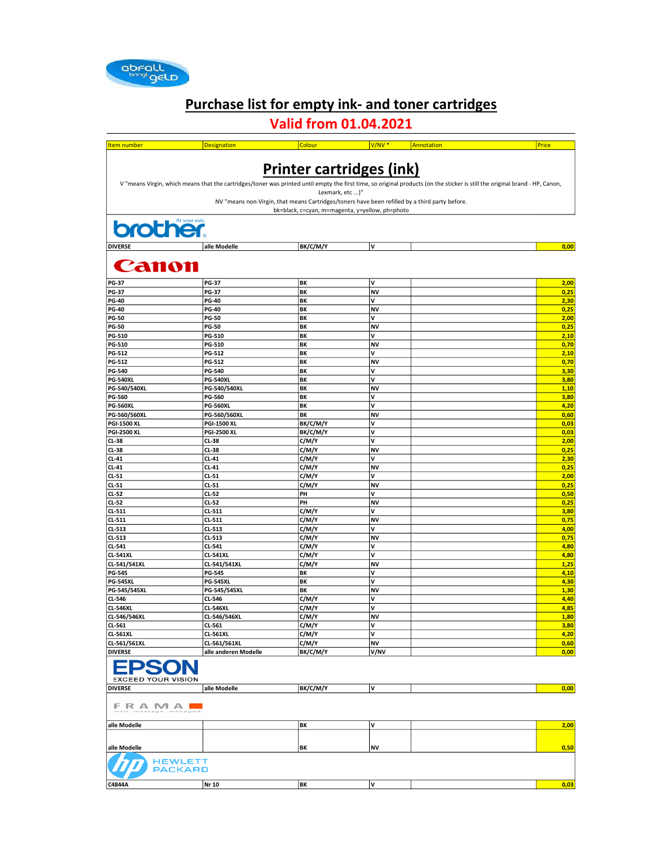

### Purchase list for empty ink- and toner cartridges

### Valid from 01.04.2021

| <b>Item number</b>                            | <b>Designation</b>                                                                                                                                                           | Colour                                                                                         | V/NV <sup>*</sup> | Annotation | Price        |
|-----------------------------------------------|------------------------------------------------------------------------------------------------------------------------------------------------------------------------------|------------------------------------------------------------------------------------------------|-------------------|------------|--------------|
|                                               |                                                                                                                                                                              |                                                                                                |                   |            |              |
|                                               |                                                                                                                                                                              | <b>Printer cartridges (ink)</b>                                                                |                   |            |              |
|                                               | V "means Virgin, which means that the cartridges/toner was printed until empty the first time, so original products (on the sticker is still the original brand - HP, Canon, |                                                                                                |                   |            |              |
|                                               |                                                                                                                                                                              | Lexmark, etc )"                                                                                |                   |            |              |
|                                               |                                                                                                                                                                              | NV "means non-Virgin, that means Cartridges/toners have been refilled by a third party before. |                   |            |              |
|                                               |                                                                                                                                                                              | bk=black, c=cyan, m=magenta, y=yellow, ph=photo                                                |                   |            |              |
|                                               |                                                                                                                                                                              |                                                                                                |                   |            |              |
| <b>brother</b>                                |                                                                                                                                                                              |                                                                                                |                   |            |              |
|                                               |                                                                                                                                                                              |                                                                                                |                   |            |              |
| <b>DIVERSE</b>                                | alle Modelle                                                                                                                                                                 | BK/C/M/Y                                                                                       | V                 |            | 0,00         |
| <b>Canon</b>                                  |                                                                                                                                                                              |                                                                                                |                   |            |              |
|                                               |                                                                                                                                                                              |                                                                                                |                   |            |              |
| <b>PG-37</b>                                  | <b>PG-37</b>                                                                                                                                                                 | BK                                                                                             | ٧                 |            | 2,00         |
| <b>PG-37</b>                                  | <b>PG-37</b>                                                                                                                                                                 | BK                                                                                             | <b>NV</b>         |            | 0,25         |
| <b>PG-40</b>                                  | <b>PG-40</b>                                                                                                                                                                 | BK                                                                                             | V                 |            | 2,30         |
| <b>PG-40</b>                                  | <b>PG-40</b>                                                                                                                                                                 | BK                                                                                             | <b>NV</b>         |            | 0,25         |
| <b>PG-50</b><br><b>PG-50</b>                  | <b>PG-50</b><br><b>PG-50</b>                                                                                                                                                 | BK<br>BK                                                                                       | v<br><b>NV</b>    |            | 2,00<br>0,25 |
| PG-510                                        | PG-510                                                                                                                                                                       | BK                                                                                             | v                 |            | 2,10         |
| PG-510                                        | PG-510                                                                                                                                                                       | BK                                                                                             | <b>NV</b>         |            | 0,70         |
| PG-512                                        | PG-512                                                                                                                                                                       | BK                                                                                             | V                 |            | 2,10         |
| PG-512                                        | PG-512                                                                                                                                                                       | BK                                                                                             | <b>NV</b>         |            | 0,70         |
| <b>PG-540</b>                                 | PG-540                                                                                                                                                                       | BK                                                                                             | V                 |            | 3,30         |
| <b>PG-540XL</b>                               | <b>PG-540XL</b>                                                                                                                                                              | BK                                                                                             | V                 |            | 3,80         |
| PG-540/540XL<br>PG-560                        | PG-540/540XL<br>PG-560                                                                                                                                                       | BK<br>BK                                                                                       | <b>NV</b><br>V    |            | 1,10<br>3,80 |
| <b>PG-560XL</b>                               | <b>PG-560XL</b>                                                                                                                                                              | BK                                                                                             | V                 |            | 4,20         |
| PG-560/560XL                                  | PG-560/560XL                                                                                                                                                                 | BK                                                                                             | <b>NV</b>         |            | 0,60         |
| <b>PGI-1500 XL</b>                            | <b>PGI-1500 XL</b>                                                                                                                                                           | BK/C/M/Y                                                                                       | V                 |            | 0,03         |
| <b>PGI-2500 XL</b>                            | <b>PGI-2500 XL</b>                                                                                                                                                           | BK/C/M/Y                                                                                       | V                 |            | 0,03         |
| CL-38                                         | CL-38                                                                                                                                                                        | C/M/Y                                                                                          | V                 |            | 2,00         |
| CL-38<br>$CL-41$                              | CL-38<br>CL-41                                                                                                                                                               | C/M/Y<br>C/M/Y                                                                                 | <b>NV</b><br>V    |            | 0,25<br>2,30 |
| $CL-41$                                       | CL-41                                                                                                                                                                        | C/M/Y                                                                                          | <b>NV</b>         |            | 0,25         |
| $CL-51$                                       | $CL-51$                                                                                                                                                                      | C/M/Y                                                                                          | V                 |            | 2,00         |
| $CL-51$                                       | $CL-51$                                                                                                                                                                      | C/M/Y                                                                                          | <b>NV</b>         |            | 0,25         |
| CL-52                                         | CL-52                                                                                                                                                                        | PH                                                                                             | v                 |            | 0,50         |
| CL-52                                         | CL-52                                                                                                                                                                        | PH                                                                                             | <b>NV</b>         |            | 0,25         |
| $CL-511$                                      | CL-511                                                                                                                                                                       | C/M/Y                                                                                          | v                 |            | 3,80         |
| CL-511<br>CL-513                              | CL-511<br>CL-513                                                                                                                                                             | C/M/Y<br>C/M/Y                                                                                 | <b>NV</b><br>v    |            | 0,75<br>4,00 |
| $CL-513$                                      | CL-513                                                                                                                                                                       | C/M/Y                                                                                          | <b>NV</b>         |            | 0,75         |
| CL-541                                        | CL-541                                                                                                                                                                       | C/M/Y                                                                                          | V                 |            | 4,80         |
| <b>CL-541XL</b>                               | <b>CL-541XL</b>                                                                                                                                                              | C/M/Y                                                                                          | V                 |            | 4,80         |
| CL-541/541XL                                  | CL-541/541XL                                                                                                                                                                 | C/M/Y                                                                                          | <b>NV</b>         |            | 1,25         |
| <b>PG-545</b>                                 | <b>PG-545</b>                                                                                                                                                                | BK                                                                                             | V                 |            | 4,10         |
| <b>PG-545XL</b>                               | <b>PG-545XL</b>                                                                                                                                                              | BK                                                                                             | V                 |            | 4,30         |
| PG-545/545XL<br>CL-546                        | PG-545/545XL<br>CL-546                                                                                                                                                       | BK<br>C/M/Y                                                                                    | <b>NV</b><br>V    |            | 1,30<br>4,40 |
| <b>CL-546XL</b>                               | <b>CL-546XL</b>                                                                                                                                                              | C/M/Y                                                                                          | V                 |            | 4,85         |
| CL-546/546XL                                  | CL-546/546XL                                                                                                                                                                 | C/M/Y                                                                                          | <b>NV</b>         |            | 1,80         |
| CL-561                                        | CL-561                                                                                                                                                                       | C/M/Y                                                                                          | V                 |            | 3,80         |
| <b>CL-561XL</b>                               | <b>CL-561XL</b>                                                                                                                                                              | C/M/Y                                                                                          | V                 |            | 4,20         |
| CL-561/561XL                                  | CL-561/561XL                                                                                                                                                                 | C/M/Y<br>BK/C/M/Y                                                                              | NV                |            | 0,60         |
| <b>DIVERSE</b>                                | alle anderen Modelle                                                                                                                                                         |                                                                                                | V/NV              |            | 0,00         |
| <b>EPS</b><br>ON<br><b>EXCEED YOUR VISION</b> |                                                                                                                                                                              |                                                                                                |                   |            |              |
| <b>DIVERSE</b>                                | alle Modelle                                                                                                                                                                 | BK/C/M/Y                                                                                       | V                 |            | 0,00         |
| FRAMA <b>L</b>                                |                                                                                                                                                                              |                                                                                                |                   |            |              |
| alle Modelle                                  |                                                                                                                                                                              | BK                                                                                             | V                 |            | 2,00         |
|                                               |                                                                                                                                                                              |                                                                                                |                   |            |              |
|                                               |                                                                                                                                                                              |                                                                                                |                   |            |              |
| alle Modelle                                  |                                                                                                                                                                              | BK                                                                                             | NV                |            | 0,50         |
| <b>HEWLETT</b><br><b>PACKARD</b>              |                                                                                                                                                                              |                                                                                                |                   |            |              |
| C4844A                                        | Nr 10                                                                                                                                                                        | BK                                                                                             | V                 |            | 0,03         |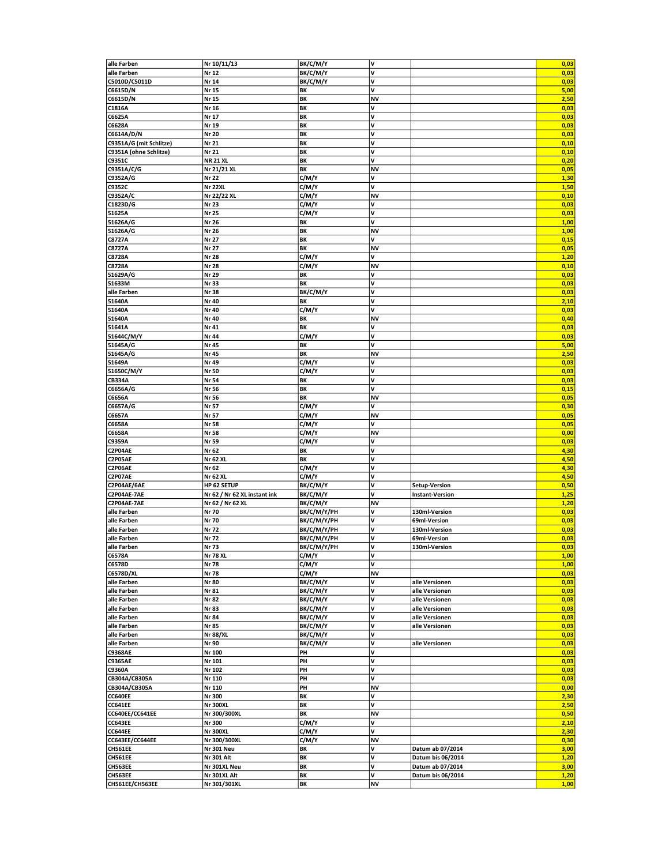| alle Farben                       | Nr 10/11/13                  | BK/C/M/Y    | v              |                        | 0,03         |
|-----------------------------------|------------------------------|-------------|----------------|------------------------|--------------|
| alle Farben                       | Nr 12                        | BK/C/M/Y    | V              |                        | 0,03         |
|                                   |                              |             |                |                        |              |
| C5010D/C5011D                     | Nr 14                        | BK/C/M/Y    | ۷              |                        | 0,03         |
| C6615D/N                          | Nr 15                        | ΒK          | v              |                        | 5,00         |
| C6615D/N                          | Nr 15                        | BK          | <b>NV</b>      |                        | 2,50         |
| C1816A                            | Nr 16                        | BK          | v              |                        | 0,03         |
| C6625A                            | Nr 17                        | BK          | V              |                        | 0,03         |
|                                   |                              |             |                |                        |              |
| C6628A                            | Nr 19                        | BK          | v              |                        | 0,03         |
| C6614A/D/N                        | Nr 20                        | ΒK          | v              |                        | 0,03         |
| C9351A/G (mit Schlitze)           | Nr 21                        | ΒK          | ν              |                        | 0,10         |
| C9351A (ohne Schlitze)            | Nr 21                        | BK          | V              |                        | 0,10         |
| C9351C                            | <b>NR 21 XL</b>              | BK          | V              |                        | 0,20         |
| C9351A/C/G                        | Nr 21/21 XL                  | BK          | <b>NV</b>      |                        | 0,05         |
|                                   |                              |             |                |                        |              |
| C9352A/G                          | Nr 22                        | C/M/Y       | V              |                        | 1,30         |
| C9352C                            | <b>Nr 22XL</b>               | C/M/Y       | V              |                        | 1,50         |
| C9352A/C                          | Nr 22/22 XL                  | C/M/Y       | <b>NV</b>      |                        | 0,10         |
| C1823D/G                          | Nr 23                        | C/M/Y       | V              |                        | 0,03         |
| 51625A                            | Nr 25                        | C/M/Y       | v              |                        | 0,03         |
|                                   |                              |             | V              |                        | 1,00         |
| 51626A/G                          | Nr 26                        | BΚ          |                |                        |              |
| 51626A/G                          | Nr 26                        | ΒK          | <b>NV</b>      |                        | 1,00         |
| C8727A                            | Nr 27                        | BK          | V              |                        | 0,15         |
| C8727A                            | Nr 27                        | BK          | <b>NV</b>      |                        | 0,05         |
| C8728A                            | Nr 28                        | C/M/Y       | V              |                        | 1,20         |
| C8728A                            | Nr 28                        | C/M/Y       | NV             |                        | 0,10         |
| 51629A/G                          | Nr 29                        | BΚ          | ۷              |                        | 0,03         |
|                                   |                              |             |                |                        |              |
| 51633M                            | Nr 33                        | BK          | v              |                        | 0,03         |
| alle Farben                       | Nr 38                        | BK/C/M/Y    | V              |                        | 0,03         |
| 51640A                            | Nr 40                        | BΚ          | v              |                        | 2,10         |
| 51640A                            | Nr 40                        | C/M/Y       | V              |                        | 0,03         |
| 51640A                            | Nr 40                        | BK          | NV             |                        | 0,40         |
|                                   |                              |             |                |                        |              |
| 51641A                            | Nr 41                        | BΚ          | V              |                        | 0,03         |
| 51644C/M/Y                        | Nr 44                        | C/M/Y       | V              |                        | 0,03         |
| 51645A/G                          | Nr 45                        | BΚ          | V              |                        | 5,00         |
| 51645A/G                          | Nr 45                        | ΒK          | <b>NV</b>      |                        | 2,50         |
| 51649A                            | Nr 49                        | C/M/Y       | V              |                        | 0,03         |
| 51650C/M/Y                        | Nr 50                        | C/M/Y       | V              |                        | 0,03         |
|                                   |                              |             |                |                        |              |
| <b>CB334A</b>                     | Nr 54                        | BK          | v              |                        | 0,03         |
| C6656A/G                          | Nr 56                        | BK          | V              |                        | 0,15         |
| C6656A                            | Nr 56                        | BΚ          | NV             |                        | 0,05         |
| C6657A/G                          | Nr 57                        | C/M/Y       | V              |                        | 0,30         |
| C6657A                            | Nr 57                        | C/M/Y       | <b>NV</b>      |                        | 0,05         |
|                                   |                              |             | V              |                        |              |
| C6658A                            | Nr 58                        | C/M/Y       |                |                        | 0,05         |
| C6658A                            | Nr 58                        | C/M/Y       | <b>NV</b>      |                        | 0,00         |
| C9359A                            | Nr 59                        | C/M/Y       | v              |                        | 0,03         |
| C2P04AE                           | Nr 62                        | ΒK          | v              |                        | 4,30         |
| <b>C2P05AE</b>                    | Nr 62 XL                     | BK          | v              |                        | 4,50         |
| <b>C2P06AE</b>                    | Nr 62                        | C/M/Y       | v              |                        | 4,30         |
|                                   |                              |             |                |                        |              |
| C2P07AE                           | Nr 62 XL                     | C/M/Y       | V              |                        | 4,50         |
| C2P04AE/6AE                       | HP 62 SETUP                  | BK/C/M/Y    | V              | <b>Setup-Version</b>   | 0,50         |
| C2P04AE-7AE                       | Nr 62 / Nr 62 XL instant ink | BK/C/M/Y    | V              | <b>Instant-Version</b> | 1,25         |
| C2P04AE-7AE                       | Nr 62 / Nr 62 XL             | BK/C/M/Y    | NV             |                        | 1,20         |
| alle Farben                       | Nr 70                        | ВК/С/М/Ү/РН | V              | 130ml-Version          |              |
|                                   |                              |             |                |                        |              |
| alle Farben                       |                              |             |                |                        | 0,03         |
|                                   | Nr 70                        | ВК/С/М/Ү/РН | v              | 69ml-Version           | 0,03         |
| alle Farben                       | Nr 72                        | BK/C/M/Y/PH | v              | 130ml-Version          | 0,03         |
| alle Farben                       | Nr 72                        | ВК/С/М/Ү/РН | v              | 69ml-Version           | 0,03         |
| alle Farben                       | Nr 73                        | BK/C/M/Y/PH |                | 130ml-Version          | 0.03         |
|                                   |                              |             | V              |                        |              |
| C6578A                            | <b>Nr 78 XL</b>              | C/M/Y       |                |                        | 1,00         |
| C6578D                            | Nr 78                        | C/M/Y       | V              |                        | 1,00         |
| C6578D/XL                         | Nr 78                        | C/M/Y       | NV             |                        | 0,03         |
| alle Farben                       | Nr 80                        | BK/C/M/Y    | ٧              | alle Versionen         | 0,03         |
| alle Farben                       | Nr 81                        | BK/C/M/Y    | V              | alle Versionen         | 0,03         |
| alle Farben                       | Nr 82                        | BK/C/M/Y    | V              | alle Versionen         | 0,03         |
| alle Farben                       | Nr 83                        |             | V              | alle Versionen         |              |
|                                   |                              | BK/C/M/Y    |                |                        | 0,03         |
| alle Farben                       | Nr 84                        | BK/C/M/Y    | V              | alle Versionen         | 0,03         |
| alle Farben                       | Nr 85                        | BK/C/M/Y    | V              | alle Versionen         | 0,03         |
| alle Farben                       | <b>Nr 88/XL</b>              | BK/C/M/Y    | V              |                        | 0,03         |
| alle Farben                       | Nr 90                        | BK/C/M/Y    | V              | alle Versionen         | 0,03         |
| <b>C9368AE</b>                    | Nr 100                       | PH          | V              |                        | 0,03         |
| <b>C9365AE</b>                    | Nr 101                       | PH          | V              |                        | 0,03         |
|                                   |                              |             | V              |                        |              |
| C9360A                            | Nr 102                       | PH          |                |                        | 0,03         |
| CB304A/CB305A                     | Nr 110                       | PH          | V              |                        | 0,03         |
| CB304A/CB305A                     | Nr 110                       | PH          | <b>NV</b>      |                        | 0,00         |
| CC640EE                           | Nr 300                       | BK          | V              |                        | 2,30         |
| CC641EE                           | <b>Nr 300XL</b>              | BK          | V              |                        | 2,50         |
|                                   |                              | BK          | <b>NV</b>      |                        |              |
| CC640EE/CC641EE                   | Nr 300/300XL                 |             |                |                        | 0,50         |
| CC643EE                           | Nr 300                       | C/M/Y       | V              |                        | 2,10         |
| <b>CC644EE</b>                    | <b>Nr 300XL</b>              | C/M/Y       | V              |                        | 2,30         |
| CC643EE/CC644EE                   | Nr 300/300XL                 | C/M/Y       | <b>NV</b>      |                        | 0,30         |
| <b>CH561EE</b>                    | <b>Nr 301 Neu</b>            | ΒK          | v              | Datum ab 07/2014       | 3,00         |
| <b>CH561EE</b>                    | Nr 301 Alt                   | BK          | V              | Datum bis 06/2014      | 1,20         |
|                                   |                              |             | V              |                        |              |
| CH563EE                           | Nr 301XL Neu                 | BK          |                | Datum ab 07/2014       | 3,00         |
| <b>CH563EE</b><br>CH561EE/CH563EE | Nr 301XL Alt<br>Nr 301/301XL | ΒK<br>BK    | V<br><b>NV</b> | Datum bis 06/2014      | 1,20<br>1,00 |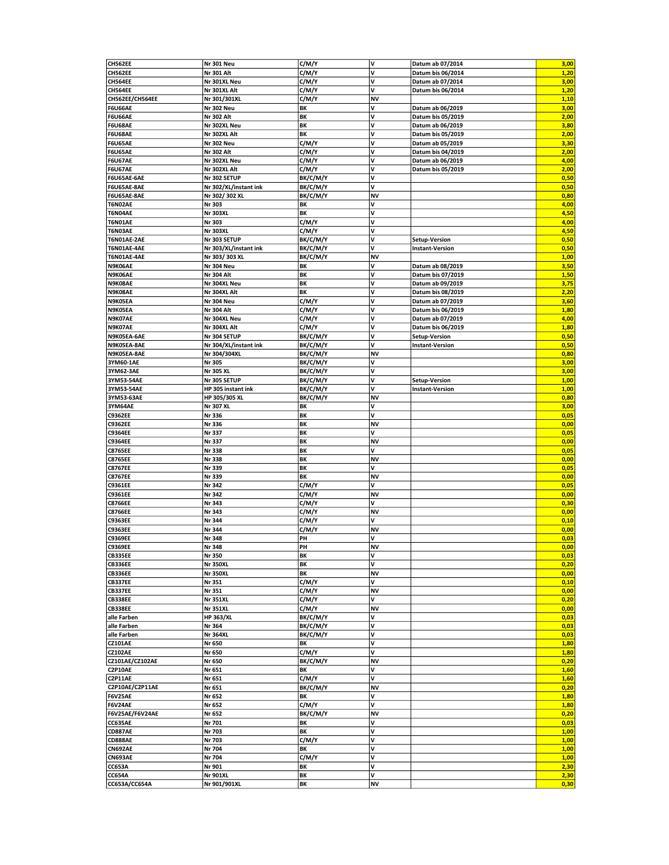|                    |                       |          | V         | Datum ab 07/2014       | 3,00 |
|--------------------|-----------------------|----------|-----------|------------------------|------|
| CH562EE            | <b>Nr 301 Neu</b>     | C/M/Y    |           |                        |      |
| <b>CH562EE</b>     | Nr 301 Alt            | C/M/Y    | <b>v</b>  | Datum bis 06/2014      | 1,20 |
| CH564EE            | Nr 301XL Neu          | C/M/Y    | v         | Datum ab 07/2014       | 3,00 |
| CH564EE            | Nr 301XL Alt          | C/M/Y    | ٧         | Datum bis 06/2014      | 1,20 |
|                    |                       |          | <b>NV</b> |                        |      |
| CH562EE/CH564EE    | Nr 301/301XL          | C/M/Y    |           |                        | 1,10 |
| <b>F6U66AE</b>     | <b>Nr 302 Neu</b>     | ΒK       | v         | Datum ab 06/2019       | 3,00 |
| <b>F6U66AE</b>     | Nr 302 Alt            | ΒK       | V         | Datum bis 05/2019      | 2,00 |
| <b>F6U68AE</b>     | Nr 302XL Neu          | ΒK       | v         | Datum ab 06/2019       | 3,80 |
| <b>F6U68AE</b>     | Nr 302XL Alt          | BK       | v         | Datum bis 05/2019      | 2,00 |
|                    |                       |          |           |                        |      |
| <b>F6U65AE</b>     | <b>Nr 302 Neu</b>     | C/M/Y    | v         | Datum ab 05/2019       | 3,30 |
| <b>F6U65AE</b>     | <b>Nr 302 Alt</b>     | C/M/Y    | V         | Datum bis 04/2019      | 2,00 |
| <b>F6U67AE</b>     | Nr 302XL Neu          | C/M/Y    | v         | Datum ab 06/2019       | 4,00 |
| <b>F6U67AE</b>     | Nr 302XL Alt          | C/M/Y    | v         | Datum bis 05/2019      | 2,00 |
|                    |                       |          | V         |                        |      |
| F6U65AE-6AE        | Nr 302 SETUP          | BK/C/M/Y |           |                        | 0,50 |
| F6U65AE-8AE        | Nr 302/XL/instant ink | BK/C/M/Y | v         |                        | 0,50 |
| F6U65AE-8AE        | Nr 302/302 XL         | BK/C/M/Y | <b>NV</b> |                        | 0,80 |
| T6N02AE            | Nr 303                | ΒK       | V         |                        | 4,00 |
| T6N04AE            | Nr 303XL              | BK       | v         |                        | 4,50 |
|                    |                       |          |           |                        |      |
| <b>T6N01AE</b>     | Nr 303                | C/M/Y    | v         |                        | 4,00 |
| T6N03AE            | Nr 303XL              | C/M/Y    | v         |                        | 4,50 |
| <b>T6N01AE-2AE</b> | Nr 303 SETUP          | BK/C/M/Y | v         | Setup-Version          | 0,50 |
| T6N01AE-4AE        | Nr 303/XL/instant ink | BK/C/M/Y | V         | <b>Instant-Version</b> | 0,50 |
|                    |                       |          |           |                        |      |
| <b>T6N01AE-4AE</b> | Nr 303/303 XL         | BK/C/M/Y | <b>NV</b> |                        | 1,00 |
| N9K06AE            | Nr 304 Neu            | BΚ       | <b>v</b>  | Datum ab 08/2019       | 3,50 |
| N9K06AE            | <b>Nr 304 Alt</b>     | BK       | V         | Datum bis 07/2019      | 1,50 |
| N9K08AE            | Nr 304XL Neu          | BK       | v         | Datum ab 09/2019       | 3,75 |
| N9K08AE            | Nr 304XL Alt          | ΒK       | v         | Datum bis 08/2019      | 2,20 |
|                    |                       |          |           |                        |      |
| N9K05EA            | Nr 304 Neu            | C/M/Y    | V         | Datum ab 07/2019       | 3,60 |
| N9K05EA            | Nr 304 Alt            | C/M/Y    | V         | Datum bis 06/2019      | 1,80 |
| N9K07AE            | Nr 304XL Neu          | C/M/Y    | v         | Datum ab 07/2019       | 4,00 |
|                    | Nr 304XL Alt          |          | V         |                        |      |
| N9K07AE            |                       | C/M/Y    |           | Datum bis 06/2019      | 1,80 |
| N9K05EA-6AE        | Nr 304 SETUP          | BK/C/M/Y | V         | <b>Setup-Version</b>   | 0,50 |
| N9K05EA-8AE        | Nr 304/XL/instant ink | BK/C/M/Y | V         | <b>Instant-Version</b> | 0,50 |
| N9K05EA-8AE        | Nr 304/304XL          | BK/C/M/Y | <b>NV</b> |                        | 0,80 |
|                    | Nr 305                | BK/C/M/Y | V         |                        | 3,00 |
| 3YM60-1AE          |                       |          |           |                        |      |
| 3YM62-3AE          | Nr 305 XL             | BK/C/M/Y | V         |                        | 3,00 |
| 3YM53-54AE         | Nr 305 SETUP          | BK/C/M/Y | V         | <b>Setup-Version</b>   | 1,00 |
| 3YM53-54AE         | HP 305 instant ink    | BK/C/M/Y | v         | <b>Instant-Version</b> | 1,00 |
| 3YM53-63AE         | HP 305/305 XL         | BK/C/M/Y | <b>NV</b> |                        | 0,80 |
|                    |                       |          |           |                        |      |
| 3YM64AE            | Nr 307 XL             | BK       | V         |                        | 3,00 |
| <b>C9362EE</b>     | Nr 336                | ΒK       | V         |                        | 0,05 |
| C9362EE            | Nr 336                | BK       | <b>NV</b> |                        | 0,00 |
| C9364EE            | Nr 337                | BK       | v         |                        | 0,05 |
|                    |                       |          |           |                        |      |
|                    |                       |          |           |                        |      |
| <b>C9364EE</b>     | Nr 337                | BK       | <b>NV</b> |                        | 0,00 |
| <b>C8765EE</b>     | Nr 338                | BK       | V         |                        | 0,05 |
| <b>C8765EE</b>     | Nr 338                | BK       | <b>NV</b> |                        | 0,00 |
|                    |                       |          |           |                        |      |
| <b>C8767EE</b>     | Nr 339                | BK       | V         |                        | 0,05 |
| <b>C8767EE</b>     | Nr 339                | BK       | <b>NV</b> |                        | 0,00 |
| C9361EE            | Nr 342                | C/M/Y    | ١v        |                        | 0,05 |
| C9361EE            | Nr 342                | C/M/Y    | <b>NV</b> |                        | 0,00 |
| <b>C8766EE</b>     | Nr 343                | C/M/Y    | V         |                        | 0,30 |
|                    |                       |          |           |                        |      |
| C8766EE            | Nr 343                | C/M/Y    | <b>NV</b> |                        | 0,00 |
| C9363EE            | Nr 344                | C/M/Y    | V         |                        | 0,10 |
| C9363EE            | Nr 344                | C/M/Y    | <b>NV</b> |                        | 0,00 |
| C9369EE            | Nr 348                | PH       | V         |                        | 0,03 |
|                    | Nr 348                | PH       | <b>NV</b> |                        | 0,00 |
| C9369EE            |                       |          |           |                        |      |
| <b>CB335EE</b>     | Nr 350                | BK       | V         |                        | 0,03 |
| <b>CB336EE</b>     | <b>Nr 350XL</b>       | BK       | v         |                        | 0,20 |
| <b>CB336EE</b>     | <b>Nr 350XL</b>       | BK       | NV        |                        | 0,00 |
| <b>CB337EE</b>     | Nr 351                | C/M/Y    | V         |                        | 0,10 |
|                    |                       |          |           |                        |      |
| <b>CB337EE</b>     | Nr 351                | C/M/Y    | <b>NV</b> |                        | 0,00 |
| <b>CB338EE</b>     | Nr 351XL              | C/M/Y    | v         |                        | 0,20 |
| <b>CB338EE</b>     | <b>Nr 351XL</b>       | C/M/Y    | <b>NV</b> |                        | 0,00 |
| alle Farben        | <b>HP 363/XL</b>      | BK/C/M/Y | V         |                        | 0,03 |
| alle Farben        | Nr 364                | BK/C/M/Y | v         |                        | 0,03 |
|                    |                       |          |           |                        |      |
| alle Farben        | Nr 364XL              | BK/C/M/Y | v         |                        | 0,03 |
| <b>CZ101AE</b>     | Nr 650                | ΒK       | V         |                        | 1,80 |
| <b>CZ102AE</b>     | Nr 650                | C/M/Y    | v         |                        | 1,80 |
| CZ101AE/CZ102AE    | Nr 650                | BK/C/M/Y | <b>NV</b> |                        | 0,20 |
|                    |                       | BK       | v         |                        |      |
| C2P10AE            | Nr 651                |          |           |                        | 1,60 |
| C2P11AE            | Nr 651                | C/M/Y    | v         |                        | 1,60 |
| C2P10AE/C2P11AE    | Nr 651                | BK/C/M/Y | <b>NV</b> |                        | 0,20 |
| <b>F6V25AE</b>     | Nr 652                | BK       | V         |                        | 1,80 |
|                    |                       |          | v         |                        |      |
| <b>F6V24AE</b>     | Nr 652                | C/M/Y    |           |                        | 1,80 |
| F6V25AE/F6V24AE    | Nr 652                | BK/C/M/Y | <b>NV</b> |                        | 0,20 |
| CC635AE            | Nr 701                | BK       | V         |                        | 0,03 |
| <b>CD887AE</b>     | Nr 703                | BK       | V         |                        | 1,00 |
| <b>CD888AE</b>     | Nr 703                | C/M/Y    | V         |                        | 1,00 |
|                    |                       |          |           |                        |      |
| CN692AE            | Nr 704                | BK       | V         |                        | 1,00 |
| <b>CN693AE</b>     | Nr 704                | C/M/Y    | V         |                        | 1,00 |
| CC653A             | Nr 901                | BK       | <b>v</b>  |                        | 2,30 |
| <b>CC654A</b>      | <b>Nr 901XL</b>       | BK       | V         |                        | 2,30 |
| CC653A/CC654A      | Nr 901/901XL          | ΒK       | <b>NV</b> |                        | 0,30 |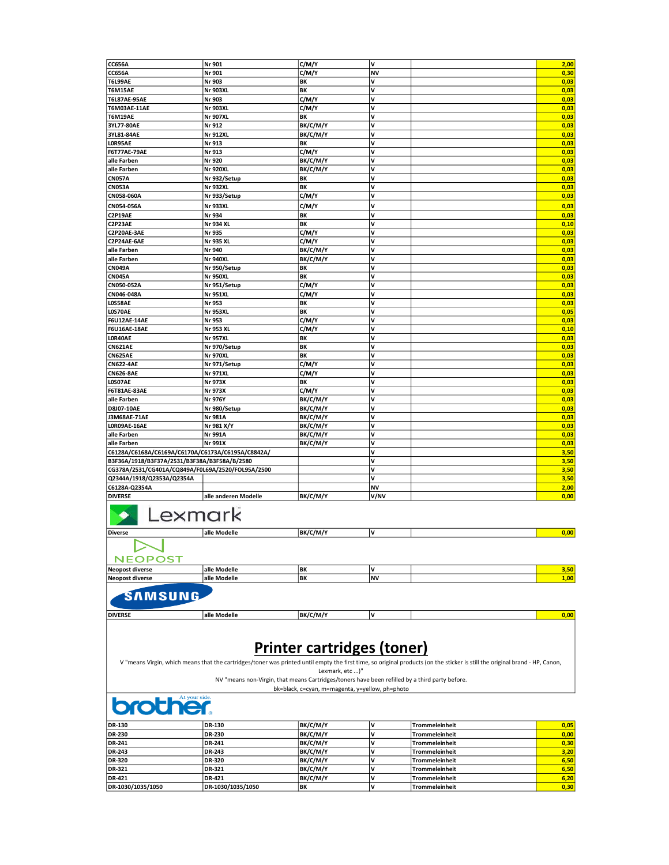| <b>CC656A</b>                                     | Nr 901                                                                                         | C/M/Y                                                | v                 |                                                                                                                                                                              | 2,00         |
|---------------------------------------------------|------------------------------------------------------------------------------------------------|------------------------------------------------------|-------------------|------------------------------------------------------------------------------------------------------------------------------------------------------------------------------|--------------|
| <b>CC656A</b>                                     | Nr 901                                                                                         | C/M/Y                                                | <b>NV</b>         |                                                                                                                                                                              | 0,30         |
| <b>T6L99AE</b>                                    | Nr 903                                                                                         | BK                                                   | V                 |                                                                                                                                                                              | 0,03         |
| <b>T6M15AE</b>                                    | <b>Nr 903XL</b>                                                                                | BK                                                   | V                 |                                                                                                                                                                              | 0,03         |
| <b>T6L87AE-95AE</b>                               | Nr 903                                                                                         | C/M/Y                                                | V                 |                                                                                                                                                                              | 0,03         |
| T6M03AE-11AE                                      | <b>Nr 903XL</b>                                                                                | C/M/Y                                                | v                 |                                                                                                                                                                              | 0,03         |
| <b>T6M19AE</b>                                    | <b>Nr 907XL</b>                                                                                | BK                                                   | V                 |                                                                                                                                                                              | 0,03         |
| 3YL77-80AE                                        | Nr 912                                                                                         | BK/C/M/Y                                             | V                 |                                                                                                                                                                              | 0,03         |
| 3YL81-84AE                                        | <b>Nr 912XL</b>                                                                                | BK/C/M/Y                                             | V                 |                                                                                                                                                                              | 0,03         |
| LOR95AE                                           | Nr 913                                                                                         | BK                                                   | V                 |                                                                                                                                                                              | 0,03         |
| <b>F6T77AE-79AE</b>                               | Nr 913                                                                                         | C/M/Y                                                | V                 |                                                                                                                                                                              | 0,03         |
| alle Farben                                       | Nr 920                                                                                         | BK/C/M/Y                                             | v                 |                                                                                                                                                                              | 0,03         |
| alle Farben                                       | <b>Nr 920XL</b>                                                                                | BK/C/M/Y                                             | V                 |                                                                                                                                                                              | 0,03         |
| <b>CN057A</b>                                     | Nr 932/Setup                                                                                   | BK                                                   | V                 |                                                                                                                                                                              | 0,03         |
| <b>CN053A</b>                                     | <b>Nr 932XL</b>                                                                                | BK                                                   | V                 |                                                                                                                                                                              | 0,03         |
| CN058-060A                                        | Nr 933/Setup                                                                                   | C/M/Y                                                | V                 |                                                                                                                                                                              | 0,03         |
| CN054-056A                                        | <b>Nr 933XL</b>                                                                                | C/M/Y                                                | V                 |                                                                                                                                                                              | 0,03         |
| C2P19AE                                           | Nr 934                                                                                         | BK                                                   | V                 |                                                                                                                                                                              | 0,03         |
| C2P23AE                                           | Nr 934 XL                                                                                      | BK                                                   | V                 |                                                                                                                                                                              | 0,10         |
| C2P20AE-3AE                                       | Nr 935                                                                                         | C/M/Y                                                | V                 |                                                                                                                                                                              | 0,03         |
| C2P24AE-6AE                                       | Nr 935 XL                                                                                      | C/M/Y                                                | V                 |                                                                                                                                                                              | 0,03         |
| alle Farben                                       | Nr 940                                                                                         | BK/C/M/Y                                             | V                 |                                                                                                                                                                              | 0,03         |
| alle Farben                                       | <b>Nr 940XL</b>                                                                                | BK/C/M/Y                                             | v                 |                                                                                                                                                                              | 0,03         |
| <b>CN049A</b>                                     | Nr 950/Setup                                                                                   | BK                                                   | V                 |                                                                                                                                                                              | 0,03         |
| <b>CN045A</b>                                     | <b>Nr 950XL</b>                                                                                | BK                                                   | V                 |                                                                                                                                                                              | 0,03         |
| CN050-052A                                        | Nr 951/Setup                                                                                   | C/M/Y                                                | V                 |                                                                                                                                                                              | 0,03         |
| CN046-048A                                        | <b>Nr 951XL</b>                                                                                | C/M/Y                                                | V                 |                                                                                                                                                                              | 0,03         |
| <b>LOS58AE</b>                                    | Nr 953                                                                                         | BK                                                   | V                 |                                                                                                                                                                              | 0,03         |
| LOS70AE                                           | <b>Nr 953XL</b>                                                                                | BK                                                   | V                 |                                                                                                                                                                              | 0,05         |
| <b>F6U12AE-14AE</b>                               | Nr 953                                                                                         | C/M/Y                                                | V                 |                                                                                                                                                                              | 0,03         |
| <b>F6U16AE-18AE</b>                               | Nr 953 XL                                                                                      | C/M/Y                                                | v                 |                                                                                                                                                                              | 0,10         |
| LOR40AE                                           | <b>Nr 957XL</b>                                                                                | BK                                                   | V                 |                                                                                                                                                                              | 0,03         |
| <b>CN621AE</b>                                    | Nr 970/Setup                                                                                   | BK                                                   | V                 |                                                                                                                                                                              | 0,03         |
| <b>CN625AE</b>                                    | <b>Nr 970XL</b>                                                                                | BK                                                   | v                 |                                                                                                                                                                              | 0,03         |
| <b>CN622-4AE</b>                                  | Nr 971/Setup                                                                                   | C/M/Y                                                | V                 |                                                                                                                                                                              | 0,03         |
| <b>CN626-8AE</b>                                  | <b>Nr 971XL</b>                                                                                | C/M/Y                                                | v                 |                                                                                                                                                                              | 0,03         |
| LOSO7AE                                           | Nr 973X                                                                                        | BK                                                   | v                 |                                                                                                                                                                              | 0,03         |
| F6T81AE-83AE                                      | Nr 973X                                                                                        |                                                      | v                 |                                                                                                                                                                              | 0,03         |
|                                                   |                                                                                                | C/M/Y                                                | V                 |                                                                                                                                                                              |              |
| alle Farben                                       | Nr 976Y                                                                                        | BK/C/M/Y                                             |                   |                                                                                                                                                                              | 0,03         |
| D8J07-10AE                                        | Nr 980/Setup                                                                                   | BK/C/M/Y                                             | v                 |                                                                                                                                                                              | 0,03         |
| J3M68AE-71AE                                      | <b>Nr 981A</b>                                                                                 | BK/C/M/Y                                             | V                 |                                                                                                                                                                              | 0,03         |
| LORO9AE-16AE                                      | Nr 981 X/Y                                                                                     | BK/C/M/Y                                             | V                 |                                                                                                                                                                              | 0,03         |
| alle Farben                                       | <b>Nr 991A</b>                                                                                 | BK/C/M/Y                                             | v                 |                                                                                                                                                                              | 0,03         |
| alle Farben                                       | <b>Nr 991X</b>                                                                                 | BK/C/M/Y                                             | V                 |                                                                                                                                                                              | 0,03         |
| C6128A/C6168A/C6169A/C6170A/C6173A/C6195A/C8842A/ |                                                                                                |                                                      | V                 |                                                                                                                                                                              | 3,50         |
| B3F36A/1918/B3F37A/2531/B3F38A/B3F58A/B/2580      |                                                                                                |                                                      | V                 |                                                                                                                                                                              | 3,50         |
| CG378A/2531/CG401A/CQ849A/F0L69A/2520/FOL95A/2500 |                                                                                                |                                                      | v                 |                                                                                                                                                                              | 3,50         |
| Q2344A/1918/Q2353A/Q2354A                         |                                                                                                |                                                      | v                 |                                                                                                                                                                              | 3,50         |
| C6128A-Q2354A<br><b>DIVERSE</b>                   | alle anderen Modelle                                                                           | BK/C/M/Y                                             | <b>NV</b><br>V/NV |                                                                                                                                                                              | 2,00<br>0,00 |
| Lexmark<br><b>Diverse</b>                         | alle Modelle                                                                                   | BK/C/M/Y                                             | V                 |                                                                                                                                                                              | 0,00         |
|                                                   |                                                                                                |                                                      |                   |                                                                                                                                                                              |              |
| <b>NEOPOST</b>                                    |                                                                                                |                                                      |                   |                                                                                                                                                                              |              |
| <b>Neopost diverse</b>                            | alle Modelle                                                                                   | BK                                                   | ٧                 |                                                                                                                                                                              | 3,50         |
| <b>Neopost diverse</b>                            | alle Modelle                                                                                   | BK                                                   | <b>NV</b>         |                                                                                                                                                                              | 1,00         |
| SAMSUNG                                           |                                                                                                |                                                      |                   |                                                                                                                                                                              |              |
| <b>DIVERSE</b>                                    | alle Modelle                                                                                   | BK/C/M/Y                                             | ٧                 |                                                                                                                                                                              | 0,00         |
|                                                   |                                                                                                | <b>Printer cartridges (toner)</b><br>Lexmark, etc )" |                   | V "means Virgin, which means that the cartridges/toner was printed until empty the first time, so original products (on the sticker is still the original brand - HP, Canon, |              |
| <b>brother.</b>                                   | NV "means non-Virgin, that means Cartridges/toners have been refilled by a third party before. | bk=black, c=cyan, m=magenta, y=yellow, ph=photo      |                   |                                                                                                                                                                              |              |
| DR-130                                            | DR-130                                                                                         | BK/C/M/Y                                             | ٧                 | Trommeleinheit                                                                                                                                                               | 0,05         |
| DR-230                                            | DR-230                                                                                         | BK/C/M/Y                                             | v                 | <b>Trommeleinheit</b>                                                                                                                                                        | 0,00         |
| DR-241                                            | DR-241                                                                                         | BK/C/M/Y                                             | V                 | Trommeleinheit                                                                                                                                                               | 0,30         |
| DR-243                                            | DR-243                                                                                         | BK/C/M/Y                                             | ۷                 | <b>Trommeleinheit</b>                                                                                                                                                        | 3,20         |
| DR-320                                            | DR-320                                                                                         | BK/C/M/Y                                             | v                 | <b>Trommeleinheit</b>                                                                                                                                                        | 6,50         |
| DR-321                                            | DR-321                                                                                         | BK/C/M/Y                                             | V                 | Trommeleinheit                                                                                                                                                               | 6,50         |
| DR-421                                            | DR-421                                                                                         | BK/C/M/Y                                             | ۷                 | Trommeleinheit                                                                                                                                                               | 6,20         |
| DR-1030/1035/1050                                 | DR-1030/1035/1050                                                                              | BΚ                                                   | v                 | <b>Trommeleinheit</b>                                                                                                                                                        | 0,30         |
|                                                   |                                                                                                |                                                      |                   |                                                                                                                                                                              |              |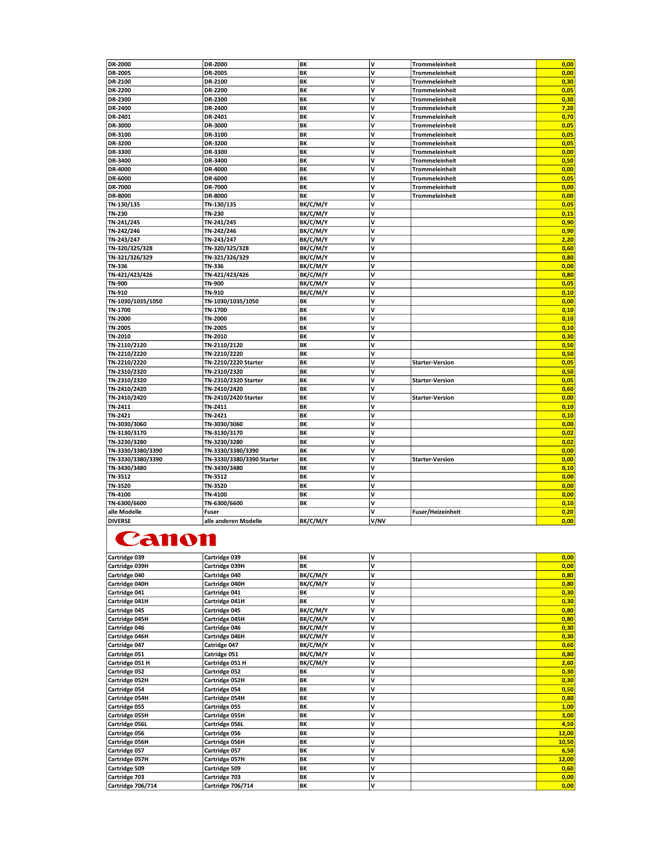| <b>DR-2000</b>    | DR-2000                   | BK        | v            | Trommeleinheit           | 0,00 |
|-------------------|---------------------------|-----------|--------------|--------------------------|------|
| <b>DR-2005</b>    | DR-2005                   | BK        | v            | Trommeleinheit           | 0,00 |
| DR-2100           | DR-2100                   | BK        | V            | <b>Trommeleinheit</b>    | 0,30 |
| <b>DR-2200</b>    | DR-2200                   | BK        | $\mathbf{v}$ | <b>Trommeleinheit</b>    | 0,05 |
| <b>DR-2300</b>    | DR-2300                   | BK        | V            | <b>Trommeleinheit</b>    | 0,30 |
| <b>DR-2400</b>    | DR-2400                   | BK        | $\mathsf{v}$ | <b>Trommeleinheit</b>    | 7,20 |
| DR-2401           | DR-2401                   | BK        | v            | <b>Trommeleinheit</b>    | 0,70 |
| DR-3000           | DR-3000                   | BK        | V            | <b>Trommeleinheit</b>    | 0,05 |
| DR-3100           | DR-3100                   | BK        | v            | <b>Trommeleinheit</b>    | 0,05 |
| DR-3200           | DR-3200                   | BK        | V            | <b>Trommeleinheit</b>    | 0,05 |
| DR-3300           | DR-3300                   | BK        | V            | <b>Trommeleinheit</b>    | 0,00 |
| DR-3400           | DR-3400                   | BK        | V            | <b>Trommeleinheit</b>    | 0,50 |
| DR-4000           | DR-4000                   | BK        | V            | <b>Trommeleinheit</b>    | 0,00 |
| DR-6000           | DR-6000                   | BK        | V            | <b>Trommeleinheit</b>    | 0,05 |
| <b>DR-7000</b>    | DR-7000                   | BK        | V            | <b>Trommeleinheit</b>    | 0,00 |
| DR-8000           | DR-8000                   | BK        | v            | <b>Trommeleinheit</b>    | 0,00 |
| TN-130/135        | TN-130/135                | BK/C/M/Y  | V            |                          | 0,05 |
| TN-230            | TN-230                    | BK/C/M/Y  | V            |                          | 0,15 |
| TN-241/245        | TN-241/245                | BK/C/M/Y  | v            |                          | 0,90 |
| TN-242/246        | TN-242/246                | BK/C/M/Y  | V            |                          | 0,90 |
| TN-243/247        | TN-243/247                | BK/C/M/Y  | V            |                          | 2,20 |
| TN-320/325/328    | TN-320/325/328            | BK/C/M/Y  | v            |                          | 0,60 |
| TN-321/326/329    | TN-321/326/329            | BK/C/M/Y  | v            |                          | 0,80 |
| TN-336            | TN-336                    | BK/C/M/Y  | V            |                          | 0,00 |
| TN-421/423/426    | TN-421/423/426            | BK/C/M/Y  | $\mathsf{v}$ |                          | 0,80 |
| <b>TN-900</b>     | TN-900                    | BK/C/M/Y  | v            |                          | 0,05 |
| TN-910            | TN-910                    | BK/C/M/Y  | V            |                          | 0,10 |
| TN-1030/1035/1050 | TN-1030/1035/1050         | BK        | v            |                          | 0,00 |
| TN-1700           | TN-1700                   | BK        | V            |                          | 0,10 |
| TN-2000           | TN-2000                   | BK        | V            |                          | 0,10 |
| TN-2005           | TN-2005                   | BK        | $\mathsf{v}$ |                          | 0,10 |
| TN-2010           | TN-2010                   | BK        | V            |                          | 0,30 |
| TN-2110/2120      | TN-2110/2120              | BK        | v            |                          | 0,50 |
| TN-2210/2220      | TN-2210/2220              | BK        | V            |                          | 0,50 |
| TN-2210/2220      | TN-2210/2220 Starter      | <b>BK</b> | V            | <b>Starter-Version</b>   | 0,05 |
| TN-2310/2320      | TN-2310/2320              | BK        | V            |                          | 0,50 |
| TN-2310/2320      | TN-2310/2320 Starter      | BK        | V            | <b>Starter-Version</b>   | 0,05 |
| TN-2410/2420      | TN-2410/2420              | BK        | v            |                          | 0,60 |
| TN-2410/2420      | TN-2410/2420 Starter      | BK        | V            | <b>Starter-Version</b>   | 0,00 |
| TN-2411           | TN-2411                   | BK        | v            |                          | 0,10 |
| TN-2421           | TN-2421                   | BK        | V            |                          | 0,10 |
| TN-3030/3060      | TN-3030/3060              | BK        | v            |                          | 0,00 |
| TN-3130/3170      | TN-3130/3170              | BK        | V            |                          | 0,02 |
| TN-3230/3280      | TN-3230/3280              | BK        | V            |                          | 0,02 |
| TN-3330/3380/3390 | TN-3330/3380/3390         | BK        | v            |                          | 0,00 |
| TN-3330/3380/3390 | TN-3330/3380/3390 Starter | BK        | V            | <b>Starter-Version</b>   | 0,00 |
| TN-3430/3480      | TN-3430/3480              | BK        | $\mathsf{v}$ |                          | 0,10 |
| TN-3512           | TN-3512                   | BK        | v            |                          | 0,00 |
| TN-3520           | TN-3520                   | BK        | ١v           |                          | 0,00 |
| TN-4100           | TN-4100                   | BK        | v            |                          | 0,00 |
| TN-6300/6600      | TN-6300/6600              | BK        | V            |                          | 0,10 |
| alle Modelle      | Fuser                     |           | V            | <b>Fuser/Heizeinheit</b> | 0,20 |
| <b>DIVERSE</b>    | alle anderen Modelle      | BK/C/M/Y  | V/NV         |                          | 0,00 |
|                   |                           |           |              |                          |      |

## **Canon**

| Cartridge 039     | Cartridge 039        | BK       | v | 0,00  |
|-------------------|----------------------|----------|---|-------|
| Cartridge 039H    | Cartridge 039H       | BK       | v | 0,00  |
| Cartridge 040     | Cartridge 040        | BK/C/M/Y | v | 0,80  |
| Cartridge 040H    | Cartridge 040H       | BK/C/M/Y | v | 0,80  |
| Cartridge 041     | Cartridge 041        | BK       | v | 0,30  |
| Cartridge 041H    | Cartridge 041H       | BK       | V | 0,30  |
| Cartridge 045     | Cartridge 045        | BK/C/M/Y | v | 0,80  |
| Cartridge 045H    | Cartridge 045H       | BK/C/M/Y | V | 0,80  |
| Cartridge 046     | Cartridge 046        | BK/C/M/Y | v | 0,30  |
| Cartridge 046H    | Cartridge 046H       | BK/C/M/Y | v | 0,30  |
| Cartridge 047     | Catridge 047         | BK/C/M/Y | v | 0,60  |
| Cartridge 051     | Catridge 051         | BK/C/M/Y | v | 0,80  |
| Cartridge 051 H   | Cartridge 051 H      | BK/C/M/Y | v | 2,60  |
| Cartridge 052     | <b>Cartridge 052</b> | BК       | v | 0,30  |
| Cartridge 052H    | Cartridge 052H       | BK       | V | 0,30  |
| Cartridge 054     | Cartridge 054        | BK       | v | 0,50  |
| Cartridge 054H    | Cartridge 054H       | BK       | v | 0,80  |
| Cartridge 055     | Cartridge 055        | BK       | v | 1,00  |
| Cartridge 055H    | Cartridge 055H       | BK       | V | 3,00  |
| Cartridge 056L    | Cartridge 056L       | BK       | v | 4,50  |
| Cartridge 056     | Cartridge 056        | BK       | v | 12,00 |
| Cartridge 056H    | Cartridge 056H       | BK       | v | 10,50 |
| Cartridge 057     | Cartridge 057        | BK       | v | 6,50  |
| Cartridge 057H    | Cartridge 057H       | BK       | v | 12,00 |
| Cartridge 509     | Cartridge 509        | BK       | v | 0,60  |
| Cartridge 703     | Cartridge 703        | BK       | V | 0,00  |
| Cartridge 706/714 | Cartridge 706/714    | BK       | v | 0,00  |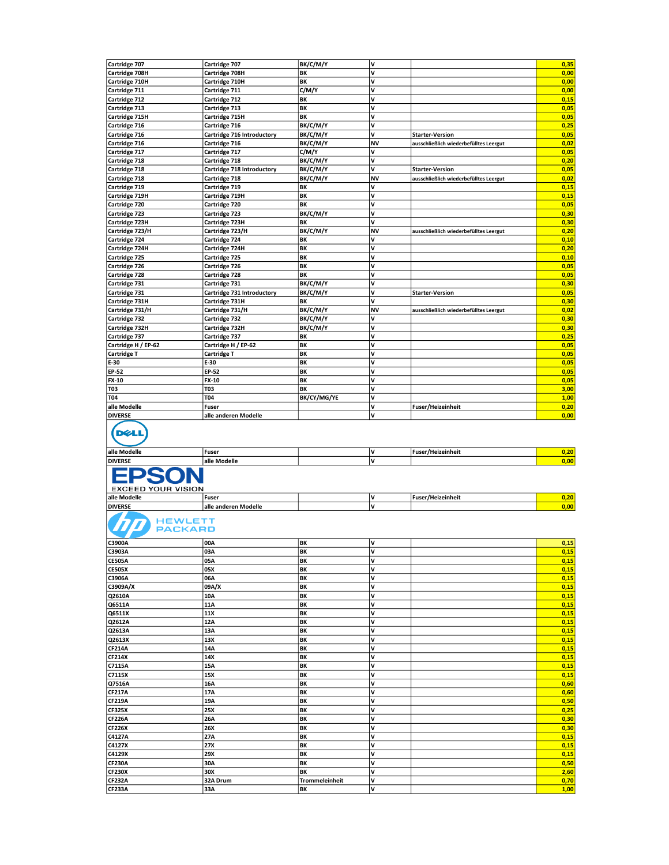| Cartridge 707                             | Cartridge 707              | BK/C/M/Y             | ٧         |                                        | 0,35         |
|-------------------------------------------|----------------------------|----------------------|-----------|----------------------------------------|--------------|
| Cartridge 708H                            | Cartridge 708H             | ΒK                   | ٧         |                                        | 0,00         |
|                                           |                            | BK                   | V         |                                        | 0,00         |
| Cartridge 710H                            | Cartridge 710H             |                      |           |                                        |              |
| Cartridge 711                             | Cartridge 711              | C/M/Y                | V         |                                        | 0,00         |
| Cartridge 712                             | Cartridge 712              | BK                   | ٧         |                                        | 0,15         |
| Cartridge 713                             | Cartridge 713              | BK                   | V         |                                        | 0,05         |
|                                           |                            |                      |           |                                        |              |
| Cartridge 715H                            | Cartridge 715H             | BK                   | V         |                                        | 0,05         |
| Cartridge 716                             | Cartridge 716              | BK/C/M/Y             | V         |                                        | 0,25         |
| Cartridge 716                             | Cartridge 716 Introductory | BK/C/M/Y             | V         | <b>Starter-Version</b>                 | 0,05         |
|                                           |                            |                      |           |                                        |              |
| Cartridge 716                             | Cartridge 716              | BK/C/M/Y             | <b>NV</b> | ausschließlich wiederbefülltes Leergut | 0,02         |
| Cartridge 717                             | Cartridge 717              | C/M/Y                | V         |                                        | 0,05         |
| Cartridge 718                             | <b>Cartridge 718</b>       | BK/C/M/Y             | ٧         |                                        | 0,20         |
| Cartridge 718                             |                            |                      | V         |                                        | 0,05         |
|                                           | Cartridge 718 Introductory | BK/C/M/Y             |           | <b>Starter-Version</b>                 |              |
| Cartridge 718                             | Cartridge 718              | BK/C/M/Y             | <b>NV</b> | ausschließlich wiederbefülltes Leergut | 0,02         |
| Cartridge 719                             | <b>Cartridge 719</b>       | BΚ                   | ٧         |                                        | 0,15         |
| Cartridge 719H                            | Cartridge 719H             | BK                   | V         |                                        | 0,15         |
|                                           |                            |                      |           |                                        |              |
| Cartridge 720                             | Cartridge 720              | BK                   | V         |                                        | 0,05         |
| Cartridge 723                             | Cartridge 723              | BK/C/M/Y             | V         |                                        | 0,30         |
| Cartridge 723H                            | Cartridge 723H             | BK                   | V         |                                        | 0,30         |
|                                           |                            |                      |           |                                        |              |
| Cartridge 723/H                           | Cartridge 723/H            | BK/C/M/Y             | <b>NV</b> | ausschließlich wiederbefülltes Leergut | 0,20         |
| Cartridge 724                             | <b>Cartridge 724</b>       | BΚ                   | V         |                                        | 0,10         |
| Cartridge 724H                            | Cartridge 724H             | BK                   | V         |                                        | 0,20         |
|                                           |                            |                      | v         |                                        |              |
| Cartridge 725                             | <b>Cartridge 725</b>       | BK                   |           |                                        | 0,10         |
| Cartridge 726                             | <b>Cartridge 726</b>       | BK                   | V         |                                        | 0,05         |
| Cartridge 728                             | Cartridge 728              | BK                   | V         |                                        | 0,05         |
|                                           | Cartridge 731              | BK/C/M/Y             | ٧         |                                        | 0,30         |
| Cartridge 731                             |                            |                      |           |                                        |              |
| Cartridge 731                             | Cartridge 731 Introductory | BK/C/M/Y             | ٧         | <b>Starter-Version</b>                 | 0,05         |
| Cartridge 731H                            | Cartridge 731H             | BK                   | V         |                                        | 0,30         |
| Cartridge 731/H                           | Cartridge 731/H            | BK/C/M/Y             | <b>NV</b> | ausschließlich wiederbefülltes Leergut | 0,02         |
|                                           |                            |                      |           |                                        |              |
| Cartridge 732                             | Cartridge 732              | BK/C/M/Y             | ٧         |                                        | 0,30         |
| Cartridge 732H                            | Cartridge 732H             | BK/C/M/Y             | V         |                                        | 0,30         |
| Cartridge 737                             | Cartridge 737              | BK                   | V         |                                        | 0,25         |
|                                           |                            | BK                   | ٧         |                                        | 0,05         |
| Cartridge H / EP-62                       | Cartridge H / EP-62        |                      |           |                                        |              |
| Cartridge T                               | <b>Cartridge T</b>         | BK                   | V         |                                        | 0,05         |
| E-30                                      | E-30                       | BK                   | v         |                                        | 0,05         |
| EP-52                                     | EP-52                      | BK                   | V         |                                        | 0,05         |
|                                           |                            |                      |           |                                        |              |
| <b>FX-10</b>                              | FX-10                      | BK                   | ٧         |                                        | 0,05         |
| <b>T03</b>                                | T03                        | BK                   | V         |                                        | 3,00         |
| T04                                       | T04                        | BK/CY/MG/YE          | V         |                                        | 1,00         |
|                                           |                            |                      |           |                                        |              |
| alle Modelle                              | Fuser                      |                      | V         | <b>Fuser/Heizeinheit</b>               | 0,20         |
| <b>DIVERSE</b>                            | alle anderen Modelle       |                      | v         |                                        | 0,00         |
| $\sim$                                    |                            |                      |           |                                        |              |
| alle Modelle<br><b>DIVERSE</b>            | Fuser<br>alle Modelle      |                      | ٧<br>v    | Fuser/Heizeinheit                      | 0,20<br>0,00 |
| <b>EXCEED YOUR VISION</b><br>alle Modelle | Fuser                      |                      | ٧         | Fuser/Heizeinheit                      | 0,20         |
| <b>DIVERSE</b>                            | alle anderen Modelle       |                      | V         |                                        | 0,00         |
| HEWLETT<br><b>PACKARD</b>                 |                            |                      |           |                                        |              |
| C3900A                                    | 00A                        | BK                   | ١v        |                                        | 0,15         |
| C3903A                                    | 03A                        | BK                   | ٧         |                                        | 0,15         |
| <b>CE505A</b>                             | 05A                        | BK                   | V         |                                        | 0,15         |
| <b>CE505X</b>                             | 05X                        | BK                   | V         |                                        |              |
|                                           |                            |                      |           |                                        | 0,15         |
| C3906A                                    | 06A                        | BK                   | V         |                                        | 0,15         |
| C3909A/X                                  | 09A/X                      | BK                   | v         |                                        | 0,15         |
| Q2610A                                    | 10A                        | BK                   | V         |                                        | 0,15         |
| Q6511A                                    | 11A                        | BK                   | V         |                                        | 0,15         |
|                                           |                            |                      |           |                                        |              |
| Q6511X                                    | 11X                        | BK                   | V         |                                        | 0,15         |
| Q2612A                                    | 12A                        | BK                   | V         |                                        | 0,15         |
| Q2613A                                    | 13A                        | BK                   | v         |                                        | 0,15         |
|                                           | 13X                        | BK                   | V         |                                        |              |
| Q2613X                                    |                            |                      |           |                                        | 0,15         |
| <b>CF214A</b>                             | 14A                        | BK                   | V         |                                        | 0,15         |
| <b>CF214X</b>                             | 14X                        | BK                   | V         |                                        | 0,15         |
| C7115A                                    | 15A                        | ΒK                   | ٧         |                                        | 0,15         |
|                                           |                            |                      |           |                                        |              |
| C7115X                                    | 15X                        | BK                   | V         |                                        | 0,15         |
| Q7516A                                    | 16A                        | BK                   | V         |                                        | 0,60         |
| <b>CF217A</b>                             | 17A                        | BK                   | ٧         |                                        | 0,60         |
| <b>CF219A</b>                             | 19A                        | BK                   | V         |                                        | 0,50         |
|                                           |                            |                      |           |                                        |              |
| <b>CF325X</b>                             | 25X                        | BK                   | V         |                                        | 0,25         |
| <b>CF226A</b>                             | 26A                        | BK                   | V         |                                        | 0,30         |
| <b>CF226X</b>                             | 26X                        | BK                   | V         |                                        | 0,30         |
|                                           |                            |                      |           |                                        |              |
| C4127A                                    | 27A                        | BK                   | ٧         |                                        | 0,15         |
| C4127X                                    | 27X                        | BK                   | V         |                                        | 0,15         |
| C4129X                                    | 29X                        | BK                   | V         |                                        | 0,15         |
| <b>CF230A</b>                             | 30A                        | BK                   | V         |                                        |              |
|                                           |                            |                      |           |                                        | 0,50         |
| <b>CF230X</b>                             | 30X                        | BK                   | V         |                                        | 2,60         |
| <b>CF232A</b><br><b>CF233A</b>            | 32A Drum<br>33A            | Trommeleinheit<br>BK | V<br>V    |                                        | 0,70<br>1,00 |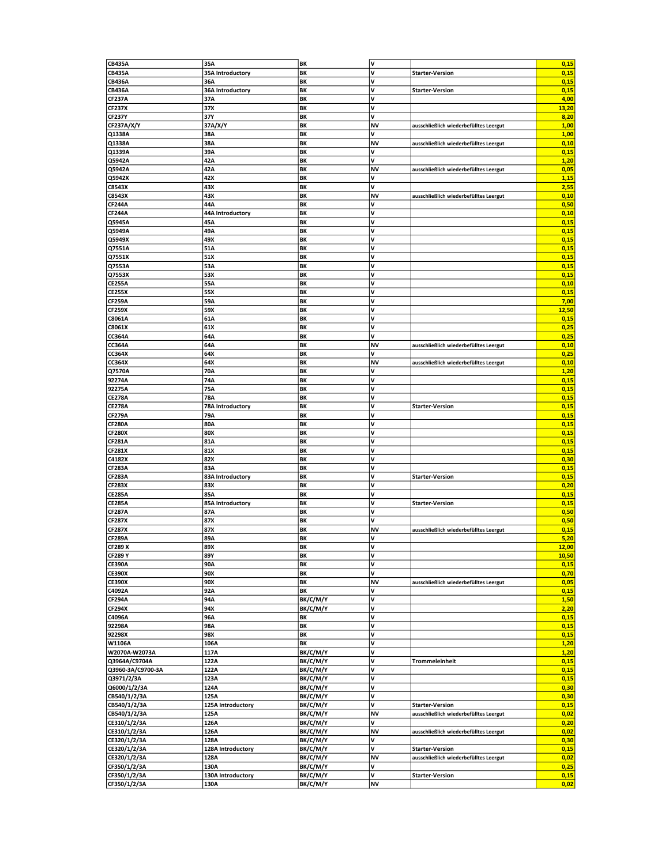| <b>CB435A</b>                   | 35A                     | BK       | V         |                                        | 0,15          |
|---------------------------------|-------------------------|----------|-----------|----------------------------------------|---------------|
| <b>CB435A</b>                   | 35A Introductory        | BK       | v         | <b>Starter-Version</b>                 | 0,15          |
| <b>CB436A</b>                   | 36A                     | ΒK       | V         |                                        | 0,15          |
| <b>CB436A</b>                   | 36A Introductory        | BΚ       | V         | <b>Starter-Version</b>                 | 0,15          |
| <b>CF237A</b>                   | 37A                     | BK       | V         |                                        | 4,00          |
| <b>CF237X</b>                   | 37X                     | ΒK       | V         |                                        | 13,20         |
| <b>CF237Y</b>                   | 37Y                     | BK       | V         |                                        | 8,20          |
| <b>CF237A/X/Y</b>               | 37A/X/Y                 | BK       | NV        | ausschließlich wiederbefülltes Leergut | 1,00          |
| Q1338A                          | 38A                     | BK       | V         |                                        | 1,00          |
| Q1338A                          | 38A                     | BK       | ΝV        | ausschließlich wiederbefülltes Leergut | 0,10          |
| Q1339A                          | 39A                     | BK       | ٨         |                                        | 0,15          |
| Q5942A                          | 42A                     | BK       | V         |                                        | 1,20          |
| Q5942A                          | 42A                     | BK       | ΝV        | ausschließlich wiederbefülltes Leergut | 0,05          |
|                                 |                         | BK       | ٨         |                                        |               |
| Q5942X<br>C8543X                | 42X<br>43X              | BK       | V         |                                        | 1,15          |
|                                 |                         |          |           |                                        | 2,55          |
| C8543X                          | 43X                     | BK       | NV        | ausschließlich wiederbefülltes Leergut | 0,10          |
| <b>CF244A</b>                   | 44A                     | BK       | ٨         |                                        | 0,50          |
| <b>CF244A</b>                   | 44A Introductory        | ΒK       | V         |                                        | 0,10          |
| Q5945A                          | 45A                     | BK       | V         |                                        | 0,15          |
| Q5949A                          | 49A                     | BK       | ٧         |                                        | 0,15          |
| Q5949X                          | 49X                     | BK       | V         |                                        | 0,15          |
| Q7551A                          | 51A                     | BK       | V         |                                        | 0,15          |
| Q7551X                          | 51X                     | BK       | V         |                                        | 0,15          |
| Q7553A                          | 53A                     | BK       | V         |                                        | 0,15          |
| Q7553X                          | 53X                     | BK       | V         |                                        | 0,15          |
| <b>CE255A</b>                   | 55A                     | BK       | V         |                                        | 0,10          |
| <b>CE255X</b>                   | 55X                     | BK       | V         |                                        | 0,15          |
| <b>CF259A</b>                   | 59A                     | BΚ       | V         |                                        | 7,00          |
| <b>CF259X</b>                   | 59X                     | BK       | V         |                                        | 12,50         |
| C8061A                          | 61A                     | BK       | V         |                                        | 0,15          |
| C8061X                          | 61X                     | ΒK       | V         |                                        | 0,25          |
| <b>CC364A</b>                   | 64A                     | BK       | V         |                                        | 0,25          |
| <b>CC364A</b>                   | 64A                     | BK       | NV        | ausschließlich wiederbefülltes Leergut | 0,10          |
| CC364X                          | 64X                     | BΚ       | ٧         |                                        | 0,25          |
| CC364X                          | 64X                     | BK       | ΝV        | ausschließlich wiederbefülltes Leergut | 0,10          |
| Q7570A                          | 70A                     | ΒK       | V         |                                        | 1,20          |
| 92274A                          | 74A                     | BK       | V         |                                        | 0,15          |
| 92275A                          | 75A                     | BK       | ٧         |                                        | 0,15          |
| <b>CE278A</b>                   | 78A                     | BΚ       | V         |                                        | 0,15          |
| <b>CE278A</b>                   | <b>78A Introductory</b> | BK       | V         | <b>Starter-Version</b>                 | 0,15          |
| <b>CF279A</b>                   | 79A                     | BK       | V         |                                        | 0,15          |
| <b>CF280A</b>                   | 80A                     | BΚ       | V         |                                        | 0,15          |
| <b>CF280X</b>                   | 80X                     | BΚ       | V         |                                        | 0,15          |
| <b>CF281A</b>                   | 81A                     | BK       | V         |                                        | 0,15          |
| <b>CF281X</b>                   | 81X                     | BΚ       | V         |                                        | 0,15          |
| C4182X                          | 82X                     | BK       | v         |                                        | 0,30          |
| <b>CF283A</b>                   | 83A                     | BK       | V         |                                        | 0,15          |
| <b>CF283A</b>                   | 83A Introductory        | BK       | V         | <b>Starter-Version</b>                 | 0,15          |
| <b>CF283X</b>                   | 83X                     | BK       | ٧         |                                        | 0,20          |
| <b>CE285A</b>                   | 85A                     | BK       | V         |                                        | 0,15          |
| <b>CE285A</b>                   | 85A Introductory        | BK       | V         | <b>Starter-Version</b>                 | 0,15          |
| <b>CF287A</b>                   | 87A                     | BK       | ٧         |                                        | 0,50          |
| <b>CF287X</b>                   | 87X                     | BΚ       | V         |                                        | 0,50          |
| <b>CF287X</b>                   | 87X                     | BK       | NV        | ausschließlich wiederbefülltes Leergut | 0,15          |
| <b>CF289A</b>                   | 89A                     | BK       | V         |                                        | 5,20          |
| <b>CF289 X</b>                  | 89X                     | BK       | v         |                                        | 12,00         |
|                                 |                         |          |           |                                        |               |
| <b>CF289 Y</b><br><b>CE390A</b> | 89Y<br>90A              | BK<br>ΒK | ٨<br>V    |                                        | 10,50<br>0,15 |
| <b>CE390X</b>                   | 90X                     | ΒK       | V         |                                        | 0,70          |
| <b>CE390X</b>                   | 90X                     | BK       | NV        | ausschließlich wiederbefülltes Leergut | 0,05          |
| C4092A                          | 92A                     | ΒK       | V         |                                        | 0,15          |
|                                 | 94A                     | BK/C/M/Y | v         |                                        |               |
| <b>CF294A</b>                   |                         |          | V         |                                        | 1,50          |
| <b>CF294X</b>                   | 94X                     | BK/C/M/Y | V         |                                        | 2,20          |
| C4096A                          | 96A                     | ΒK       | V         |                                        | 0,15          |
| 92298A                          | 98A                     | BK       |           |                                        | 0,15          |
| 92298X                          | 98X                     | BK       | V         |                                        | 0,15          |
| W1106A                          | 106A                    | ΒK       | V<br>V    |                                        | 1,20          |
| W2070A-W2073A                   | 117A                    | BK/C/M/Y |           |                                        | 1,20          |
| Q3964A/C9704A                   | 122A                    | BK/C/M/Y | V         | Trommeleinheit                         | 0,15          |
| Q3960-3A/C9700-3A               | 122A                    | BK/C/M/Y | V         |                                        | 0,15          |
| Q3971/2/3A                      | 123A                    | BK/C/M/Y | V         |                                        | 0,15          |
| Q6000/1/2/3A                    | 124A                    | BK/C/M/Y | V         |                                        | 0,30          |
| CB540/1/2/3A                    | 125A                    | BK/C/M/Y | V         |                                        | 0,30          |
| CB540/1/2/3A                    | 125A Introductory       | BK/C/M/Y | V         | <b>Starter-Version</b>                 | 0,15          |
| CB540/1/2/3A                    | 125A                    | BK/C/M/Y | NV        | ausschließlich wiederbefülltes Leergut | 0,02          |
| CE310/1/2/3A                    | 126A                    | BK/C/M/Y | V         |                                        | 0,20          |
| CE310/1/2/3A                    | 126A                    | BK/C/M/Y | NV        | ausschließlich wiederbefülltes Leergut | 0,02          |
| CE320/1/2/3A                    | 128A                    | BK/C/M/Y | V         |                                        | 0,30          |
| CE320/1/2/3A                    | 128A Introductory       | BK/C/M/Y | V         | <b>Starter-Version</b>                 | 0,15          |
| CE320/1/2/3A                    | 128A                    | BK/C/M/Y | NV        | ausschließlich wiederbefülltes Leergut | 0,02          |
| CF350/1/2/3A                    | 130A                    | BK/C/M/Y | V         |                                        | 0,25          |
| CF350/1/2/3A                    | 130A Introductory       | BK/C/M/Y | V         | <b>Starter-Version</b>                 | 0,15          |
| CF350/1/2/3A                    | 130A                    | BK/C/M/Y | <b>NV</b> |                                        | 0,02          |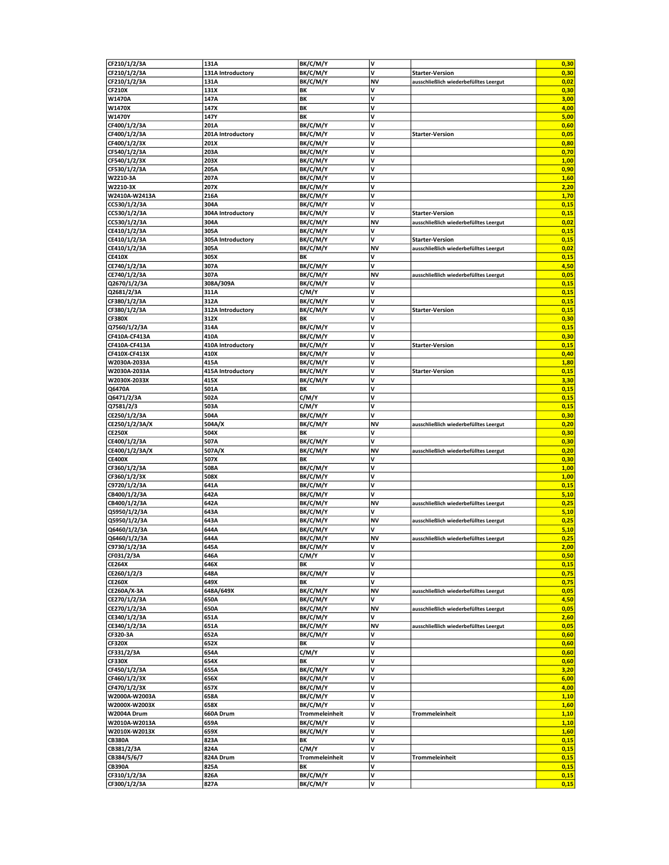| CF210/1/2/3A                 | 131A              | BK/C/M/Y             | V      |                                        | 0,30         |
|------------------------------|-------------------|----------------------|--------|----------------------------------------|--------------|
| CF210/1/2/3A                 | 131A Introductory | BK/C/M/Y             | ٨      | <b>Starter-Version</b>                 | 0,30         |
| CF210/1/2/3A                 | 131A              | BK/C/M/Y             | ΝV     | ausschließlich wiederbefülltes Leergut | 0,02         |
| <b>CF210X</b>                | 131X              | BΚ                   | V      |                                        | 0,30         |
| W1470A                       | 147A              | BΚ                   | V      |                                        | 3,00         |
| W1470X                       | 147X              | ΒK                   | V      |                                        | 4,00         |
| W1470Y                       | 147Y              | BΚ                   | V      |                                        | 5,00         |
| CF400/1/2/3A                 | 201A              | BK/C/M/Y             | V      |                                        | 0,60         |
| CF400/1/2/3A                 | 201A Introductory | BK/C/M/Y             | V      | <b>Starter-Version</b>                 | 0,05         |
| CF400/1/2/3X                 | 201X              | <b>BK/C/M/Y</b>      | v      |                                        | 0,80         |
|                              | 203A              |                      | V      |                                        | 0,70         |
| CF540/1/2/3A                 |                   | BK/C/M/Y             | V      |                                        |              |
| CF540/1/2/3X                 | 203X              | BK/C/M/Y             | v      |                                        | 1,00         |
| CF530/1/2/3A                 | 205A              | BK/C/M/Y             |        |                                        | 0,90         |
| W2210-3A                     | 207A              | BK/C/M/Y             | V      |                                        | 1,60         |
| W2210-3X                     | 207X              | BK/C/M/Y             | V      |                                        | 2,20         |
| W2410A-W2413A                | 216A              | BK/C/M/Y             | V      |                                        | 1,70         |
| CC530/1/2/3A                 | 304A              | BK/C/M/Y             | V      |                                        | 0,15         |
| CC530/1/2/3A                 | 304A Introductory | BK/C/M/Y             | V      | <b>Starter-Version</b>                 | 0,15         |
| CC530/1/2/3A                 | 304A              | BK/C/M/Y             | NV     | ausschließlich wiederbefülltes Leergut | 0,02         |
| CE410/1/2/3A                 | 305A              | BK/C/M/Y             | ٨      |                                        | 0,15         |
| CE410/1/2/3A                 | 305A Introductory | BK/C/M/Y             | V      | <b>Starter-Version</b>                 | 0,15         |
| CE410/1/2/3A                 | 305A              | BK/C/M/Y             | NV     | ausschließlich wiederbefülltes Leergut | 0,02         |
| <b>CE410X</b>                | 305X              | BΚ                   | V      |                                        | 0,15         |
| CE740/1/2/3A                 | 307A              | BK/C/M/Y             | V      |                                        | 4,50         |
| CE740/1/2/3A                 | 307A              | BK/C/M/Y             | NV     | ausschließlich wiederbefülltes Leergut | 0,05         |
| Q2670/1/2/3A                 | 308A/309A         | BK/C/M/Y             | V      |                                        | 0,15         |
| Q2681/2/3A                   | 311A              | C/M/Y                | V      |                                        | 0,15         |
| CF380/1/2/3A                 | 312A              | BK/C/M/Y             | v      |                                        | 0,15         |
| CF380/1/2/3A                 | 312A Introductory | BK/C/M/Y             | V      | <b>Starter-Version</b>                 | 0,15         |
| <b>CF380X</b>                | 312X              | BΚ                   | V      |                                        | 0,30         |
| Q7560/1/2/3A                 | 314A              | BK/C/M/Y             | ٧      |                                        | 0,15         |
| CF410A-CF413A                | 410A              | BK/C/M/Y             | V      |                                        | 0,30         |
| CF410A-CF413A                | 410A Introductory | BK/C/M/Y             | V      | <b>Starter-Version</b>                 | 0,15         |
| CF410X-CF413X                | 410X              | BK/C/M/Y             | V      |                                        | 0,40         |
| W2030A-2033A                 | 415A              | BK/C/M/Y             | V      |                                        | 1,80         |
| W2030A-2033A                 | 415A Introductory | BK/C/M/Y             | V      | <b>Starter-Version</b>                 | 0,15         |
| W2030X-2033X                 | 415X              | BK/C/M/Y             | V      |                                        | 3,30         |
| Q6470A                       | 501A              | ΒK                   | V      |                                        | 0,15         |
| Q6471/2/3A                   | 502A              | C/M/Y                | v      |                                        | 0,15         |
| Q7581/2/3                    | 503A              | C/M/Y                | V      |                                        | 0,15         |
| CE250/1/2/3A                 | 504A              | BK/C/M/Y             | V      |                                        | 0,30         |
| CE250/1/2/3A/X               | 504A/X            | BK/C/M/Y             | NV     | ausschließlich wiederbefülltes Leergut | 0,20         |
| <b>CE250X</b>                | 504X              | ΒK                   | V      |                                        | 0,30         |
| CE400/1/2/3A                 | 507A              | BK/C/M/Y             | V      |                                        | 0,30         |
| CE400/1/2/3A/X               | 507A/X            | BK/C/M/Y             | NV     | ausschließlich wiederbefülltes Leergut | 0,20         |
| <b>CE400X</b>                | 507X              | BΚ                   | V      |                                        | 0,30         |
| CF360/1/2/3A                 | 508A              | BK/C/M/Y             | V      |                                        | 1,00         |
| CF360/1/2/3X                 | 508X              | <b>BK/C/M/Y</b>      | V      |                                        | 1,00         |
| C9720/1/2/3A                 | 641A              | BK/C/M/Y             | V      |                                        | 0,15         |
| CB400/1/2/3A                 | 642A              | BK/C/M/Y             | V      |                                        | 5,10         |
| CB400/1/2/3A                 | 642A              | BK/C/M/Y             | NV     | ausschließlich wiederbefülltes Leergut | 0,25         |
| Q5950/1/2/3A                 | 643A              | BK/C/M/Y             | ٧      |                                        | 5,10         |
| Q5950/1/2/3A                 | 643A              | BK/C/M/Y             | ΝV     | ausschließlich wiederbefülltes Leergut | 0,25         |
| Q6460/1/2/3A                 | 644A              | <b>BK/C/M/Y</b>      | V      |                                        | 5,10         |
| Q6460/1/2/3A                 | 644A              | BK/C/M/Y             | NV     | ausschließlich wiederbefülltes Leergut | 0,25         |
| C9730/1/2/3A                 | 645A              | BK/C/M/Y             | V      |                                        | 2,00         |
| CF031/2/3A                   | 646A              | C/M/Y                | V      |                                        | 0,50         |
| <b>CE264X</b>                | 646X              | ΒK                   | V      |                                        | 0,15         |
| CE260/1/2/3                  | 648A              | BK/C/M/Y             | V      |                                        | 0,75         |
| <b>CE260X</b>                | 649X              | ΒK                   | V      |                                        | 0,75         |
| CE260A/X-3A                  | 648A/649X         | BK/C/M/Y             | NV     | ausschließlich wiederbefülltes Leergut | 0,05         |
| CE270/1/2/3A                 | 650A              | BK/C/M/Y             | V      |                                        | 4,50         |
| CE270/1/2/3A                 | 650A              | BK/C/M/Y             | NV     | ausschließlich wiederbefülltes Leergut | 0,05         |
|                              | 651A              |                      | V      |                                        | 2,60         |
| CE340/1/2/3A<br>CE340/1/2/3A | 651A              | BK/C/M/Y             | NV     |                                        | 0,05         |
|                              |                   | BK/C/M/Y             | V      | ausschließlich wiederbefülltes Leergut | 0,60         |
| CF320-3A                     | 652A              | BK/C/M/Y             | V      |                                        | 0,60         |
| <b>CF320X</b>                | 652X              | BК                   | V      |                                        | 0,60         |
| CF331/2/3A                   | 654A              | C/M/Y<br>ΒK          | V      |                                        | 0,60         |
| <b>CF330X</b>                | 654X              |                      | V      |                                        |              |
| CF450/1/2/3A                 | 655A              | BK/C/M/Y             |        |                                        | 3,20         |
| CF460/1/2/3X                 | 656X              | BK/C/M/Y             | V<br>V |                                        | 6,00         |
| CF470/1/2/3X                 | 657X              | BK/C/M/Y             |        |                                        | 4,00         |
| W2000A-W2003A                | 658A              | BK/C/M/Y             | V<br>V |                                        | 1,10         |
| W2000X-W2003X                | 658X              | BK/C/M/Y             |        |                                        | 1,60         |
| W2004A Drum                  | 660A Drum         | Trommeleinheit       | V      | <b>Trommeleinheit</b>                  | 1,10         |
| W2010A-W2013A                | 659A              | BK/C/M/Y             | V<br>V |                                        | 1,10         |
| W2010X-W2013X                | 659X              | BK/C/M/Y             |        |                                        | 1,60         |
| <b>CB380A</b>                | 823A              | ΒK                   | V<br>V |                                        | 0,15<br>0,15 |
| CB381/2/3A                   |                   |                      |        |                                        |              |
|                              | 824A              | C/M/Y                |        |                                        |              |
| CB384/5/6/7                  | 824A Drum         | Trommeleinheit       | V      | <b>Trommeleinheit</b>                  | 0,15         |
| <b>CB390A</b>                | 825A              | ΒK                   | ٨      |                                        | 0,15         |
| CF310/1/2/3A<br>CF300/1/2/3A | 826A<br>827A      | BK/C/M/Y<br>BK/C/M/Y | V<br>V |                                        | 0,15<br>0,15 |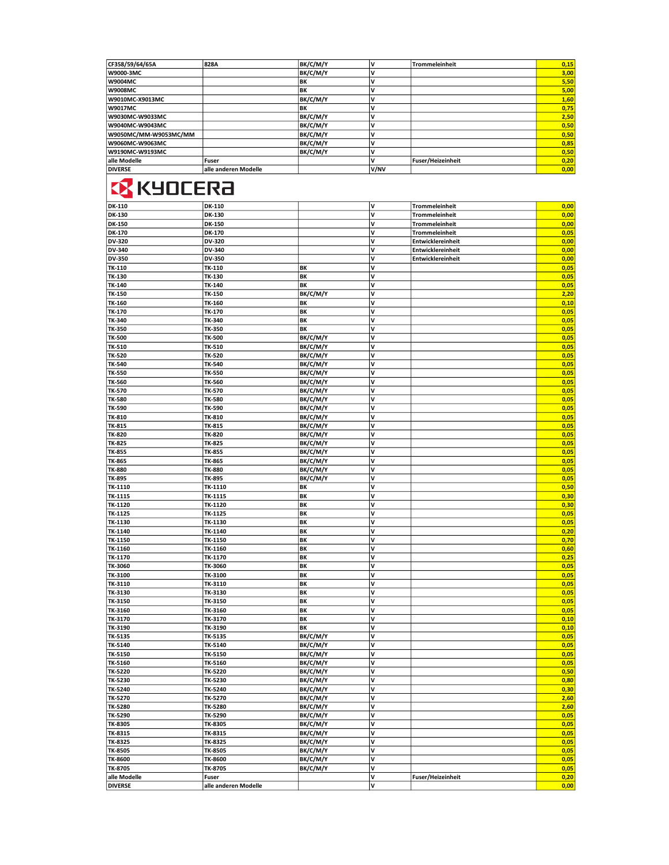| CF358/59/64/65A       | 828A                 | BK/C/M/Y  | v    | Trommeleinheit           | 0,15 |
|-----------------------|----------------------|-----------|------|--------------------------|------|
| W9000-3MC             |                      | BK/C/M/Y  | v    |                          | 3,00 |
| W9004MC               |                      | BK        | v    |                          | 5,50 |
| W9008MC               |                      | BK        | IV   |                          | 5,00 |
| W9010MC-X9013MC       |                      | BK/C/M/Y  | ν    |                          | 1,60 |
| W9017MC               |                      | <b>BK</b> | IV   |                          | 0,75 |
| W9030MC-W9033MC       |                      | BK/C/M/Y  | IV   |                          | 2,50 |
| W9040MC-W9043MC       |                      | BK/C/M/Y  | ν    |                          | 0,50 |
| W9050MC/MM-W9053MC/MM |                      | BK/C/M/Y  | IV   |                          | 0,50 |
| W9060MC-W9063MC       |                      | BK/C/M/Y  | ν    |                          | 0,85 |
| W9190MC-W9193MC       |                      | BK/C/M/Y  | ν    |                          | 0,50 |
| alle Modelle          | <b>Fuser</b>         |           | v    | <b>Fuser/Heizeinheit</b> | 0,20 |
| <b>DIVERSE</b>        | alle anderen Modelle |           | V/NV |                          | 0,00 |

## **EX KYOCERA**

| DK-110                         | DK-110               |                      | V      | <b>Trommeleinheit</b> | 0,00 |
|--------------------------------|----------------------|----------------------|--------|-----------------------|------|
| DK-130                         | <b>DK-130</b>        |                      | V      | <b>Trommeleinheit</b> | 0,00 |
| DK-150                         | DK-150               |                      | v      | <b>Trommeleinheit</b> | 0,00 |
| <b>DK-170</b>                  | DK-170               |                      | V      | <b>Trommeleinheit</b> | 0,05 |
| DV-320                         | DV-320               |                      | V      | Entwicklereinheit     | 0,00 |
| DV-340                         | DV-340               |                      | v      | Entwicklereinheit     | 0,00 |
| DV-350                         | DV-350               |                      | V      | Entwicklereinheit     | 0,00 |
| TK-110                         | TK-110               | BK                   | V      |                       | 0,05 |
| TK-130                         | TK-130               | BK                   | V      |                       | 0,05 |
| TK-140                         | TK-140               | BK                   | V      |                       | 0,05 |
| TK-150                         | TK-150               | BK/C/M/Y             | V      |                       | 2,20 |
| TK-160                         | TK-160               | ΒK                   | V      |                       | 0,10 |
| TK-170                         | TK-170               | BK                   | V      |                       | 0,05 |
| TK-340                         | TK-340               | BK                   | V      |                       | 0,05 |
| TK-350                         | TK-350               | BK                   | v      |                       | 0,05 |
| TK-500                         | TK-500               | BK/C/M/Y             | ٧      |                       | 0,05 |
| TK-510                         | TK-510               | BK/C/M/Y             | V      |                       | 0,05 |
| TK-520                         | TK-520               | BK/C/M/Y             | V      |                       | 0,05 |
| TK-540                         | TK-540               | BK/C/M/Y             | V      |                       | 0,05 |
| <b>TK-550</b>                  | TK-550               | BK/C/M/Y             | v      |                       | 0,05 |
| TK-560                         | TK-560               | BK/C/M/Y             | V      |                       | 0,05 |
| TK-570                         | TK-570               | BK/C/M/Y             | V      |                       | 0,05 |
| <b>TK-580</b>                  | TK-580               | BK/C/M/Y             | V      |                       | 0,05 |
| TK-590                         | TK-590               | BK/C/M/Y             | V      |                       | 0,05 |
| TK-810                         | TK-810               | BK/C/M/Y             | V      |                       | 0,05 |
| TK-815                         | TK-815               | BK/C/M/Y             | V      |                       | 0,05 |
| TK-820                         | TK-820               | BK/C/M/Y             | V      |                       | 0,05 |
| TK-825                         | TK-825               | BK/C/M/Y             | V      |                       | 0,05 |
| TK-855                         | TK-855               | BK/C/M/Y             | V      |                       | 0,05 |
| TK-865                         | TK-865               | BK/C/M/Y             | V      |                       | 0,05 |
| TK-880                         | TK-880               | BK/C/M/Y             | v      |                       | 0,05 |
| <b>TK-895</b>                  | TK-895               | BK/C/M/Y             | V      |                       | 0,05 |
| TK-1110                        | TK-1110              | BΚ                   | ٧      |                       | 0,50 |
| TK-1115                        | TK-1115              | ΒK                   | V      |                       | 0,30 |
| TK-1120                        | TK-1120              | ΒK                   | V      |                       | 0,30 |
| TK-1125                        | TK-1125              | ΒK                   | v      |                       | 0,05 |
| TK-1130                        | TK-1130              | BK                   | v      |                       | 0,05 |
| TK-1140                        | TK-1140              | BK                   | V      |                       | 0,20 |
| TK-1150                        | TK-1150              | BK                   | V      |                       | 0,70 |
| TK-1160                        | TK-1160              | ΒK                   | V      |                       | 0,60 |
| TK-1170                        | TK-1170              | BK                   | V      |                       | 0,25 |
| TK-3060                        | TK-3060              | BK                   | v      |                       | 0,05 |
| TK-3100                        | TK-3100              | BK                   | V      |                       | 0,05 |
| TK-3110                        | TK-3110              | BK                   | v      |                       | 0,05 |
| TK-3130                        | TK-3130              | BK                   | v      |                       | 0,05 |
| TK-3150                        | TK-3150              | BK                   | V      |                       | 0,05 |
| TK-3160                        | TK-3160              | BK                   | V      |                       | 0,05 |
| TK-3170                        | TK-3170              | ΒK                   | V      |                       | 0,10 |
| TK-3190                        | TK-3190              | BK                   | V      |                       | 0,10 |
| TK-5135                        | TK-5135              | BK/C/M/Y             | V      |                       | 0,05 |
| TK-5140                        | TK-5140              | BK/C/M/Y             | ٧      |                       | 0,05 |
| TK-5150                        | TK-5150              | BK/C/M/Y             | V      |                       | 0,05 |
| TK-5160                        | TK-5160              | BK/C/M/Y             | V      |                       | 0,05 |
| TK-5220                        | TK-5220              | BK/C/M/Y             | V      |                       | 0,50 |
| TK-5230                        | TK-5230              | BK/C/M/Y             | V      |                       | 0,80 |
| TK-5240                        | TK-5240              | BK/C/M/Y             | V      |                       | 0,30 |
| <b>TK-5270</b>                 | TK-5270              | BK/C/M/Y             | V      |                       | 2,60 |
| <b>TK-5280</b>                 | TK-5280              | BK/C/M/Y             | V      |                       | 2,60 |
| TK-5290                        | TK-5290              | BK/C/M/Y             | V      |                       | 0,05 |
| TK-8305                        | TK-8305              | BK/C/M/Y             | V      |                       | 0,05 |
| TK-8315                        | TK-8315              | BK/C/M/Y             | V      |                       | 0,05 |
| TK-8325                        | TK-8325              | BK/C/M/Y             | V      |                       | 0,05 |
| TK-8505                        | TK-8505              | BK/C/M/Y             | V<br>V |                       | 0,05 |
| TK-8600                        | TK-8600              | BK/C/M/Y<br>BK/C/M/Y |        |                       | 0,05 |
| TK-8705                        | TK-8705              |                      | V      |                       | 0,05 |
| alle Modelle<br><b>DIVERSE</b> | Fuser                |                      | V<br>V | Fuser/Heizeinheit     | 0,20 |
|                                | alle anderen Modelle |                      |        |                       | 0,00 |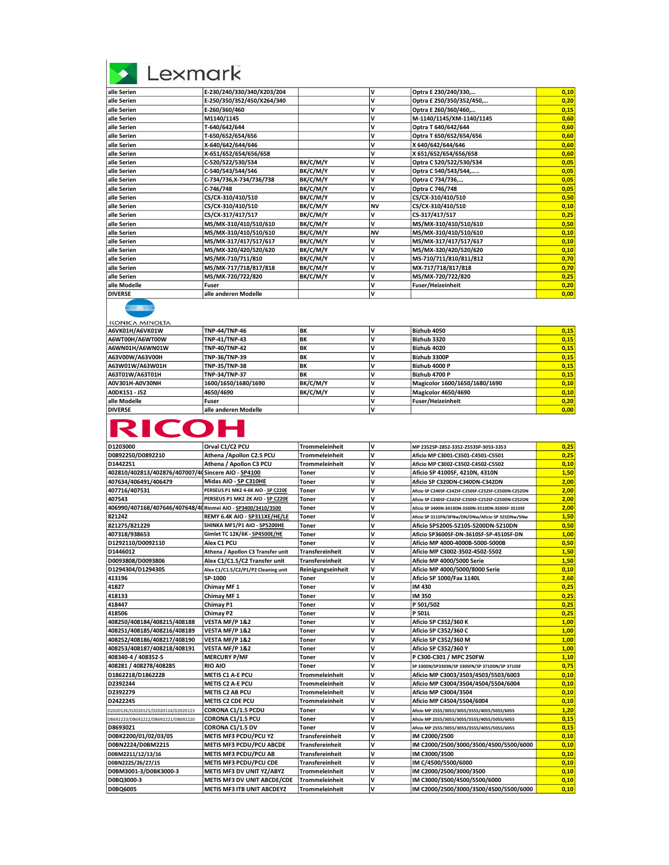| exmark |  |
|--------|--|
|        |  |

| alle Serien    | E-230/240/330/340/X203/204 |          | v         | Optra E 230/240/330,     | 0,10 |
|----------------|----------------------------|----------|-----------|--------------------------|------|
| alle Serien    | E-250/350/352/450/X264/340 |          | V         | Optra E 250/350/352/450, | 0,20 |
| alle Serien    | E-260/360/460              |          | v         | Optra E 260/360/460,     | 0,15 |
| alle Serien    | M1140/1145                 |          | v         | M-1140/1145/XM-1140/1145 | 0,60 |
| alle Serien    | T-640/642/644              |          | v         | Optra T 640/642/644      | 0,60 |
| alle Serien    | T-650/652/654/656          |          | v         | Optra T 650/652/654/656  | 0,60 |
| alle Serien    | X-640/642/644/646          |          | v         | X 640/642/644/646        | 0,60 |
| alle Serien    | X-651/652/654/656/658      |          | v         | X 651/652/654/656/658    | 0,60 |
| alle Serien    | C-520/522/530/534          | BK/C/M/Y | v         | Optra C 520/522/530/534  | 0,05 |
| alle Serien    | C-540/543/544/546          | BK/C/M/Y | v         | Optra C 540/543/544,     | 0,05 |
| alle Serien    | C-734/736, X-734/736/738   | BK/C/M/Y | v         | Optra C 734/736,         | 0,05 |
| alle Serien    | C-746/748                  | BK/C/M/Y | v         | Optra C 746/748          | 0,05 |
| alle Serien    | CS/CX-310/410/510          | BK/C/M/Y | V         | CS/CX-310/410/510        | 0,50 |
| alle Serien    | CS/CX-310/410/510          | BK/C/M/Y | <b>NV</b> | CS/CX-310/410/510        | 0,10 |
| alle Serien    | CS/CX-317/417/517          | BK/C/M/Y | v         | CS-317/417/517           | 0,25 |
| alle Serien    | MS/MX-310/410/510/610      | BK/C/M/Y | V         | MS/MX-310/410/510/610    | 0,50 |
| alle Serien    | MS/MX-310/410/510/610      | BK/C/M/Y | <b>NV</b> | MS/MX-310/410/510/610    | 0,10 |
| alle Serien    | MS/MX-317/417/517/617      | BK/C/M/Y | v         | MS/MX-317/417/517/617    | 0,10 |
| alle Serien    | MS/MX-320/420/520/620      | BK/C/M/Y | v         | MS/MX-320/420/520/620    | 0,10 |
| alle Serien    | MS/MX-710/711/810          | BK/C/M/Y | v         | MS-710/711/810/811/812   | 0,70 |
| alle Serien    | MS/MX-717/718/817/818      | BK/C/M/Y | v         | MX-717/718/817/818       | 0,70 |
| alle Serien    | MS/MX-720/722/820          | BK/C/M/Y | V         | MS/MX-720/722/820        | 0,25 |
| alle Modelle   | Fuser                      |          | v         | Fuser/Heizeinheit        | 0,20 |
| <b>DIVERSE</b> | alle anderen Modelle       |          | v         |                          | 0,00 |
|                |                            |          |           |                          |      |

| KONICA MINOLTA  |                      |           |                               |      |
|-----------------|----------------------|-----------|-------------------------------|------|
| A6VK01H/A6VK01W | <b>TNP-44/TNP-46</b> | <b>BK</b> | Bizhub 4050                   | 0,15 |
| A6WT00H/A6WT00W | <b>TNP-41/TNP-43</b> | BK        | Bizhub 3320                   | 0,15 |
| A6WN01H/A6WN01W | <b>TNP-40/TNP-42</b> | BK        | Bizhub 4020                   | 0,15 |
| A63V00W/A63V00H | <b>TNP-36/TNP-39</b> | BK        | Bizhub 3300P                  | 0,15 |
| A63W01W/A63W01H | <b>TNP-35/TNP-38</b> | BK        | Bizhub 4000 P                 | 0,15 |
| A63T01W/A63T01H | <b>TNP-34/TNP-37</b> | BK        | Bizhub 4700 P                 | 0,15 |
| A0V301H-A0V30NH | 1600/1650/1680/1690  | BK/C/M/Y  | Magicolor 1600/1650/1680/1690 | 0,10 |
| A0DK151 - J52   | 4650/4690            | BK/C/M/Y  | Magicolor 4650/4690           | 0,10 |
| alle Modelle    | Fuser                |           | Fuser/Heizeinheit             | 0,20 |
| <b>DIVERSE</b>  | alle anderen Modelle |           |                               | 0,00 |
|                 |                      |           |                               |      |

| D1203000                                                     | Orval C1/C2 PCU                     | Trommeleinheit         | ١v           | MP 2352SP-2852-3352-2553SP-3053-3353                | 0,25 |
|--------------------------------------------------------------|-------------------------------------|------------------------|--------------|-----------------------------------------------------|------|
| D0892250/D0892210                                            | Athena /Apollon C2.5 PCU            | Trommeleinheit         | v            | Aficio MP C3001-C3501-C4501-C5501                   | 0.25 |
| D1442251                                                     | Athena / Apollon C3 PCU             | Trommeleinheit         | v            | Aficio MP C3002-C3502-C4502-C5502                   | 0,10 |
| 402810/402813/402876/407007/40 Sincere AIO - SP4100          |                                     | Toner                  | V            | Aficio SP 4100SF, 4210N, 4310N                      | 1,50 |
| 407634/406491/406479                                         | Midas AIO - SP C310HE               | Toner                  | v            | Aficio SP C320DN-C340DN-C342DN                      | 2,00 |
| 407716/407531                                                | PERSEUS P1 MK2 4-6K AIO - SP C220E  | Toner                  | V            | Aficio SP C240SF-C242SF-C250SF-C252SF-C250DN-C252DN | 2,00 |
| 407543                                                       | PERSEUS P1 MK2 2K AIO - SP C220E    | Toner                  | v            | Aficio SP C240SF-C242SF-C250SF-C252SF-C250DN-C252DN | 2,00 |
| 406990/407168/407646/407648/40 Rinmei AIO - SP3400/3410/3500 |                                     | Toner                  | V            | Aficio SP 3400N-3410DN-3500N-3510DN-3500SF-3510SF   | 2,00 |
| 821242                                                       | REMY 6.4K AIO - SP311XE/HE/LE       | Toner                  | v            | Aficio SP 311SFN/SFNw/DN/DNw/Aficio SP 325DNw/SNw   | 1,50 |
| 821275/821229                                                | SHINKA MF1/P1 AIO - SP5200HE        | Toner                  | v            | Aficio SP5200S-5210S-5200DN-5210DN                  | 0,50 |
| 407318/938653                                                | Gimlet TC 12K/6K - SP4500E/HE       | Toner                  | v            | Aficio SP3600SF-DN-3610SF-SP-4510SF-DN              | 1,00 |
| D1292110/D0092110                                            | Alex C1 PCU                         | Toner                  | v            | Aficio MP 4000-4000B-5000-5000B                     | 0,50 |
| D1446012                                                     | Athena / Apollon C3 Transfer unit   | <b>Transfereinheit</b> | v            | Aficio MP C3002-3502-4502-5502                      | 1,50 |
| D0093808/D0093806                                            | Alex C1/C1.5/C2 Transfer unit       | <b>Transfereinheit</b> | v            | Aficio MP 4000/5000 Serie                           | 1,50 |
| D1294304/D1294305                                            | Alex C1/C1.5/C2/P1/P2 Cleaning unit | Reinigungseinheit      | v            | Aficio MP 4000/5000/8000 Serie                      | 0,10 |
| 413196                                                       | SP-1000                             | Toner                  | v            | Aficio SP 1000/Fax 1140L                            | 2,60 |
| 41827                                                        | Chimay MF 1                         | Toner                  | V            | IM 430                                              | 0.25 |
| 418133                                                       | Chimay MF 1                         | Toner                  | v            | IM 350                                              | 0,25 |
| 418447                                                       | Chimay P1                           | Toner                  | v            | P 501/502                                           | 0,25 |
| 418506                                                       | Chimay P2                           | Toner                  | v            | P 501L                                              | 0,25 |
| 408250/408184/408215/408188                                  | VESTA MF/P 1&2                      | Toner                  | v            | Aficio SP C352/360 K                                | 1,00 |
| 408251/408185/408216/408189                                  | VESTA MF/P 1&2                      | Toner                  | v            | Aficio SP C352/360 C                                | 1,00 |
| 408252/408186/408217/408190                                  | <b>VESTA MF/P 1&amp;2</b>           | Toner                  | $\mathsf{v}$ | Aficio SP C352/360 M                                | 1,00 |
| 408253/408187/408218/408191                                  | VESTA MF/P 1&2                      | Toner                  | $\mathbf v$  | Aficio SP C352/360 Y                                | 1,00 |
| 408340-4 / 408352-5                                          | <b>MERCURY P/MF</b>                 | Toner                  | v            | P C300-C301 / MPC 250FW                             | 1,10 |
| 408281 / 408278/408285                                       | <b>RIO AIO</b>                      | Toner                  | $\mathbf v$  | SP 330DN/SP330SN/SP 330SFN/SP 3710DN/SP 3710SF      | 0,75 |
| D1862218/D1862228                                            | <b>METIS C1 A-E PCU</b>             | <b>Trommeleinheit</b>  | v            | Aficio MP C3003/3503/4503/5503/6003                 | 0,10 |
| D2392244                                                     | <b>METIS C2 A-E PCU</b>             | <b>Trommeleinheit</b>  | v            | Aficio MP C3004/3504/4504/5504/6004                 | 0,10 |
| D2392279                                                     | <b>METIS C2 AB PCU</b>              | Trommeleinheit         | ١v           | Aficio MP C3004/3504                                | 0.10 |
| D2422245                                                     | <b>METIS C2 CDE PCU</b>             | Trommeleinheit         | v            | Aficio MP C4504/5504/6004                           | 0,10 |
| D2020126/D2020125/D2020124/D2020123                          | <b>CORONA C1/1.5 PCDU</b>           | Toner                  | v            | Aficio MP 2555/3055/3055/3555/4055/5055/6055        | 1,20 |
| D8692223/D8692222/D8692221/D8692220                          | CORONA C1/1.5 PCU                   | Toner                  | v            | Aficio MP 2555/3055/3055/3555/4055/5055/6055        | 0.15 |
| D8693021                                                     | <b>CORONA C1/1.5 DV</b>             | Toner                  | v            | Aficio MP 2555/3055/3055/3555/4055/5055/6055        | 0,15 |
| D0BK2200/01/02/03/05                                         | METIS MF3 PCDU/PCU YZ               | <b>Transfereinheit</b> | v            | IM C2000/2500                                       | 0,10 |
| D0BN2224/D0BM2215                                            | METIS MF3 PCDU/PCU ABCDE            | Transfereinheit        | v            | IM C2000/2500/3000/3500/4500/5500/6000              | 0,10 |
| D0BM2211/12/13/16                                            | <b>METIS MF3 PCDU/PCU AB</b>        | <b>Transfereinheit</b> | v            | IM C3000/3500                                       | 0.10 |
| D0BN2225/26/27/15                                            | <b>METIS MF3 PCDU/PCU CDE</b>       | <b>Transfereinheit</b> | v            | IM C/4500/5500/6000                                 | 0,10 |
| D0BM3001-3/D0BK3000-3                                        | METIS MF3 DV UNIT YZ/ABYZ           | <b>Trommeleinheit</b>  | v            | IM C2000/2500/3000/3500                             | 0,10 |
| D0BQ3000-3                                                   | <b>METIS MF3 DV UNIT ABCDE/CDE</b>  | <b>Trommeleinheit</b>  | ١v           | IM C3000/3500/4500/5500/6000                        | 0,10 |
| D0BQ6005                                                     | <b>METIS MF3 ITB UNIT ABCDEYZ</b>   | <b>Trommeleinheit</b>  | ١v           | IM C2000/2500/3000/3500/4500/5500/6000              | 0.10 |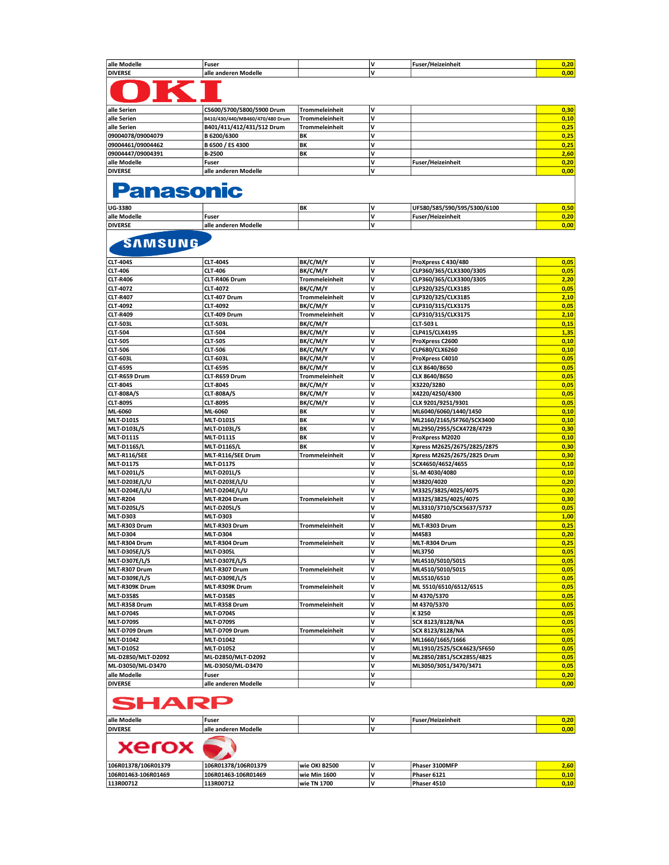| alle           | Fuser               |  | -<br>anneit |       |
|----------------|---------------------|--|-------------|-------|
| <b>DIVERSE</b> | odelle<br>эш<br>nac |  |             | - 00' |

| alle Serien       | C5600/5700/5800/5900 Drum       | Trommeleinheit        |                   | 0,30 |
|-------------------|---------------------------------|-----------------------|-------------------|------|
| alle Serien       | B410/430/440/MB460/470/480 Drum | <b>Trommeleinheit</b> |                   | 0,10 |
| alle Serien       | B401/411/412/431/512 Drum       | <b>Trommeleinheit</b> |                   | 0,25 |
| 09004078/09004079 | <b>B 6200/6300</b>              | BK                    |                   | 0,25 |
| 09004461/09004462 | B 6500 / ES 4300                | BK                    |                   | 0,25 |
| 09004447/09004391 | <b>B-2500</b>                   | <b>IBK</b>            |                   | 2,60 |
| alle Modelle      | <b>Fuser</b>                    |                       | Fuser/Heizeinheit | 0,20 |
| <b>DIVERSE</b>    | alle anderen Modelle            |                       |                   | 0,00 |
|                   |                                 |                       |                   |      |

### **Panasonic**

| UG-3380        |                      | <b>IBK</b> | UF580/585/590/595/5300/6100 | ren.  |
|----------------|----------------------|------------|-----------------------------|-------|
| alle Modelle   | <b>IFuser</b>        |            | 'Fuser/Heizeinheit          | J.20' |
| <b>DIVERSE</b> | alle anderen Modelle |            |                             | 0,00  |

### SAMSUNG

| <b>CLT-404S</b>      | <b>CLT-404S</b>      | BK/C/M/Y              | $\mathsf{v}$ | ProXpress C 430/480         | 0,05 |
|----------------------|----------------------|-----------------------|--------------|-----------------------------|------|
| <b>CLT-406</b>       | <b>CLT-406</b>       | BK/C/M/Y              | v            | CLP360/365/CLX3300/3305     | 0,05 |
| <b>CLT-R406</b>      | CLT-R406 Drum        | <b>Trommeleinheit</b> | V            | CLP360/365/CLX3300/3305     | 2,20 |
| CLT-4072             | CLT-4072             | BK/C/M/Y              | $\mathsf{v}$ | CLP320/325/CLX3185          | 0,05 |
| <b>CLT-R407</b>      | CLT-407 Drum         | Trommeleinheit        | V            | CLP320/325/CLX3185          | 2,10 |
| CLT-4092             | CLT-4092             | BK/C/M/Y              | $\mathsf{v}$ | CLP310/315/CLX3175          | 0,05 |
| <b>CLT-R409</b>      | CLT-409 Drum         | <b>Trommeleinheit</b> | V            | CLP310/315/CLX3175          | 2,10 |
| <b>CLT-503L</b>      | <b>CLT-503L</b>      | BK/C/M/Y              |              | CLT-503L                    | 0,15 |
| <b>CLT-504</b>       | <b>CLT-504</b>       | BK/C/M/Y              | V            | CLP415/CLX4195              | 1,35 |
| <b>CLT-505</b>       | <b>CLT-505</b>       | BK/C/M/Y              | v            | ProXpress C2600             | 0,10 |
| <b>CLT-506</b>       | <b>CLT-506</b>       | BK/C/M/Y              | V            | CLP680/CLX6260              | 0,10 |
| <b>CLT-603L</b>      | <b>CLT-603L</b>      | BK/C/M/Y              | $\mathsf{v}$ | ProXpress C4010             | 0,05 |
| <b>CLT-659S</b>      | <b>CLT-659S</b>      | BK/C/M/Y              | v            | CLX 8640/8650               | 0,05 |
| CLT-R659 Drum        | CLT-R659 Drum        | Trommeleinheit        | v            | CLX 8640/8650               | 0,05 |
| <b>CLT-804S</b>      | <b>CLT-804S</b>      | BK/C/M/Y              | v            | X3220/3280                  | 0,05 |
| <b>CLT-808A/S</b>    | <b>CLT-808A/S</b>    | BK/C/M/Y              | v            | X4220/4250/4300             | 0,05 |
| <b>CLT-809S</b>      | <b>CLT-809S</b>      | BK/C/M/Y              | V            | CLX 9201/9251/9301          | 0,05 |
| ML-6060              | ML-6060              | BΚ                    | v            | ML6040/6060/1440/1450       | 0,10 |
| <b>MLT-D101S</b>     | <b>MLT-D101S</b>     | BK                    | V            | ML2160/2165/SF760/SCX3400   | 0,10 |
| <b>MLT-D103L/S</b>   | <b>MLT-D103L/S</b>   | BK                    | v            | ML2950/2955/SCX4728/4729    | 0,30 |
| <b>MLT-D111S</b>     | <b>MLT-D111S</b>     | ΒK                    | V            | ProXpress M2020             | 0,10 |
| <b>MLT-D116S/L</b>   | <b>MLT-D116S/L</b>   | BK                    | v            | Xpress M2625/2675/2825/2875 | 0,30 |
| <b>MLT-R116/SEE</b>  | MLT-R116/SEE Drum    | Trommeleinheit        | v            | Xpress M2625/2675/2825 Drum | 0,30 |
| <b>MLT-D117S</b>     | <b>MLT-D117S</b>     |                       | v            | SCX4650/4652/4655           | 0,10 |
| <b>MLT-D201L/S</b>   | <b>MLT-D201L/S</b>   |                       | V            | SL-M 4030/4080              | 0,10 |
| <b>MLT-D203E/L/U</b> | <b>MLT-D203E/L/U</b> |                       | v            | M3820/4020                  | 0,20 |
| <b>MLT-D204E/L/U</b> | <b>MLT-D204E/L/U</b> |                       | V            | M3325/3825/4025/4075        | 0,20 |
| <b>MLT-R204</b>      | MLT-R204 Drum        | <b>Trommeleinheit</b> | V            | M3325/3825/4025/4075        | 0,30 |
| <b>MLT-D205L/S</b>   | <b>MLT-D205L/S</b>   |                       | $\mathsf{v}$ | ML3310/3710/SCX5637/5737    | 0,05 |
| <b>MLT-D303</b>      | <b>MLT-D303</b>      |                       | $\mathsf{v}$ | M4580                       | 1,00 |
| MLT-R303 Drum        | MLT-R303 Drum        | <b>Trommeleinheit</b> | V            | MLT-R303 Drum               | 0,25 |
| <b>MLT-D304</b>      | <b>MLT-D304</b>      |                       | V            | M4583                       | 0,20 |
| MLT-R304 Drum        | MLT-R304 Drum        | <b>Trommeleinheit</b> | v            | MLT-R304 Drum               | 0,25 |
| MLT-D305E/L/S        | <b>MLT-D305L</b>     |                       | v            | ML3750                      | 0,05 |
| MLT-D307E/L/S        | <b>MLT-D307E/L/S</b> |                       | $\mathsf{v}$ | ML4510/5010/5015            | 0,05 |
| MLT-R307 Drum        | MLT-R307 Drum        | <b>Trommeleinheit</b> | V            | ML4510/5010/5015            | 0,05 |
| <b>MLT-D309E/L/S</b> | <b>MLT-D309E/L/S</b> |                       | v            | ML5510/6510                 | 0,05 |
| MLT-R309K Drum       | MLT-R309K Drum       | <b>Trommeleinheit</b> | V            | ML 5510/6510/6512/6515      | 0,05 |
| <b>MLT-D358S</b>     | <b>MLT-D358S</b>     |                       | v            | M 4370/5370                 | 0,05 |
| MLT-R358 Drum        | MLT-R358 Drum        | <b>Trommeleinheit</b> | v            | M 4370/5370                 | 0,05 |
| <b>MLT-D704S</b>     | <b>MLT-D704S</b>     |                       | v            | K 3250                      | 0,05 |
| <b>MLT-D709S</b>     | <b>MLT-D709S</b>     |                       | $\mathsf{v}$ | SCX 8123/8128/NA            | 0,05 |
| MLT-D709 Drum        | MLT-D709 Drum        | <b>Trommeleinheit</b> | V            | SCX 8123/8128/NA            | 0,05 |
| <b>MLT-D1042</b>     | MLT-D1042            |                       | V            | ML1660/1665/1666            | 0,05 |
| <b>MLT-D1052</b>     | <b>MLT-D1052</b>     |                       | v            | ML1910/2525/SCX4623/SF650   | 0,05 |
| ML-D2850/MLT-D2092   | ML-D2850/MLT-D2092   |                       | V            | ML2850/2851/SCX2855/4825    | 0,05 |
| ML-D3050/ML-D3470    | ML-D3050/ML-D3470    |                       | v            | ML3050/3051/3470/3471       | 0,05 |
| alle Modelle         | Fuser                |                       | v            |                             | 0,20 |
| <b>DIVERSE</b>       | alle anderen Modelle |                       | $\mathsf{v}$ |                             | 0,00 |

# **SHARP**

| alle Modelle   | Fuser                           |  | 'Heizeinheit<br>$-$ | 7.ZU |
|----------------|---------------------------------|--|---------------------|------|
| <b>DIVERSE</b> | Modelle<br>lalle<br>: anderen ' |  |                     | 0.00 |
|                |                                 |  |                     |      |

# $\overline{\text{Xerox} \odot}$

| 106R01378/106R01379 | 106R01378/106R01379 | wie OKI B2500 | ۱۱, | Phaser 3100MFP | 7,60                 |
|---------------------|---------------------|---------------|-----|----------------|----------------------|
| 106R01463-106R01469 | 106R01463-106R01469 | wie Min 1600  | N   | Phaser 6121    | $J$ .10 $^{\dagger}$ |
| 113R00712           | 113R00712           | wie TN 1700   | N   | Phaser 4510    | $J$ .10 $^{\circ}$   |